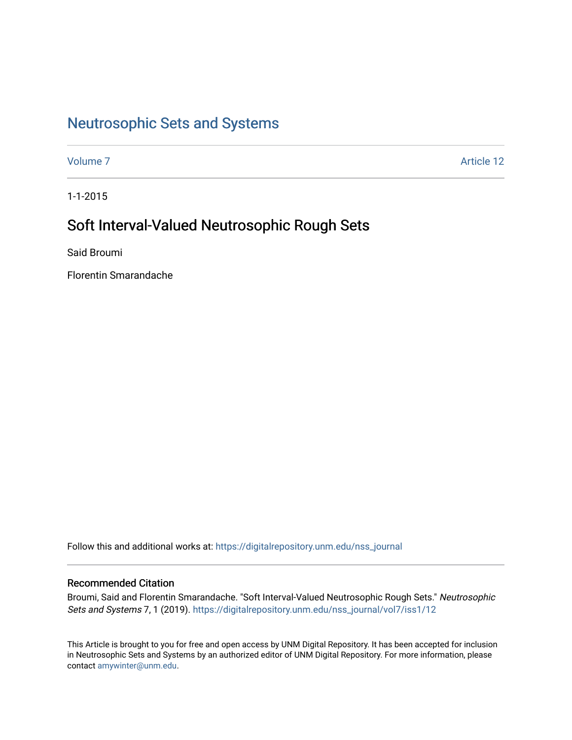# [Neutrosophic Sets and Systems](https://digitalrepository.unm.edu/nss_journal)

[Volume 7](https://digitalrepository.unm.edu/nss_journal/vol7) Article 12

1-1-2015

# Soft Interval-Valued Neutrosophic Rough Sets

Said Broumi

Florentin Smarandache

Follow this and additional works at: [https://digitalrepository.unm.edu/nss\\_journal](https://digitalrepository.unm.edu/nss_journal?utm_source=digitalrepository.unm.edu%2Fnss_journal%2Fvol7%2Fiss1%2F12&utm_medium=PDF&utm_campaign=PDFCoverPages) 

## Recommended Citation

Broumi, Said and Florentin Smarandache. "Soft Interval-Valued Neutrosophic Rough Sets." Neutrosophic Sets and Systems 7, 1 (2019). [https://digitalrepository.unm.edu/nss\\_journal/vol7/iss1/12](https://digitalrepository.unm.edu/nss_journal/vol7/iss1/12?utm_source=digitalrepository.unm.edu%2Fnss_journal%2Fvol7%2Fiss1%2F12&utm_medium=PDF&utm_campaign=PDFCoverPages) 

This Article is brought to you for free and open access by UNM Digital Repository. It has been accepted for inclusion in Neutrosophic Sets and Systems by an authorized editor of UNM Digital Repository. For more information, please contact [amywinter@unm.edu](mailto:amywinter@unm.edu).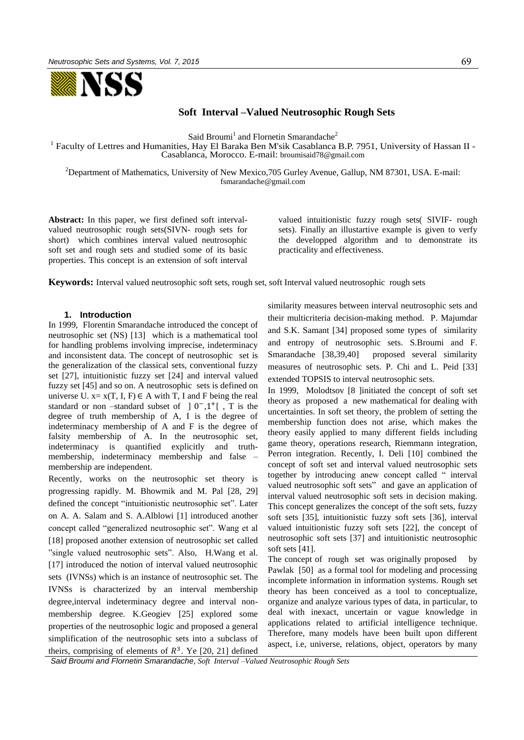

#### **Soft Interval –Valued Neutrosophic Rough Sets**

Said Broumi<sup>1</sup> and Flornetin Smarandache<sup>2</sup>

<sup>1</sup> Faculty of Lettres and Humanities, Hay El Baraka Ben M'sik Casablanca B.P. 7951, University of Hassan II -Casablanca, Morocco. E-mail: [broumisaid78@gmail.com](mailto:1broumisaid78@gmail.com)

<sup>2</sup>Department of Mathematics, University of New Mexico, 705 Gurley Avenue, Gallup, NM 87301, USA. E-mail: [fsmarandache@gmail.com](mailto:fsmarandache@gmail.com)

**Abstract:** In this paper, we first defined soft intervalvalued neutrosophic rough sets(SIVN- rough sets for short) which combines interval valued neutrosophic soft set and rough sets and studied some of its basic properties. This concept is an extension of soft interval valued intuitionistic fuzzy rough sets( SIVIF- rough sets). Finally an illustartive example is given to verfy the developped algorithm and to demonstrate its practicality and effectiveness.

**Keywords:** Interval valued neutrosophic soft sets, rough set, soft Interval valued neutrosophic rough sets

#### **1. Introduction**

In 1999, Florentin Smarandache introduced the concept of neutrosophic set (NS) [13] which is a mathematical tool for handling problems involving imprecise, indeterminacy and inconsistent data. The concept of neutrosophic set is the generalization of the classical sets, conventional fuzzy set [27], intuitionistic fuzzy set [24] and interval valued fuzzy set [45] and so on. A neutrosophic sets is defined on universe U.  $x=x(T, I, F) \in A$  with T, I and F being the real standard or non –standard subset of  $] 0^-, 1^+]$ , T is the degree of truth membership of A, I is the degree of indeterminacy membership of A and F is the degree of falsity membership of A. In the neutrosophic set, indeterminacy is quantified explicitly and truthmembership, indeterminacy membership and false – membership are independent.

Recently, works on the neutrosophic set theory is progressing rapidly. M. Bhowmik and M. Pal [28, 29] defined the concept "intuitionistic neutrosophic set". Later on A. A. Salam and S. A.Alblowi [1] introduced another concept called "generalized neutrosophic set". Wang et al [18] proposed another extension of neutrosophic set called "single valued neutrosophic sets". Also, H.Wang et al. [17] introduced the notion of interval valued neutrosophic sets (IVNSs) which is an instance of neutrosophic set. The IVNSs is characterized by an interval membership degree,interval indeterminacy degree and interval nonmembership degree. K.Geogiev [25] explored some properties of the neutrosophic logic and proposed a general simplification of the neutrosophic sets into a subclass of theirs, comprising of elements of  $R^3$ . Ye [20, 21] defined similarity measures between interval neutrosophic sets and their multicriteria decision-making method. P. Majumdar and S.K. Samant [34] proposed some types [of similarity](http://iospress.metapress.com/content/8342372573j42764/)  [and entropy of neutrosophic sets.](http://iospress.metapress.com/content/8342372573j42764/) S.Broumi and F. Smarandache [38,39,40] proposed several similarity measures of neutrosophic sets. P. Chi and L. Peid [33] extended TOPSIS to interval neutrosophic sets.

In 1999, Molodtsov [8 ]initiated the concept of soft set theory as proposed a new mathematical for dealing with uncertainties. In soft set theory, the problem of setting the membership function does not arise, which makes the theory easily applied to many different fields including game theory, operations research, Riemmann integration, Perron integration. Recently, I. Deli [10] combined the concept of soft set and interval valued neutrosophic sets together by introducing anew concept called " interval valued neutrosophic soft sets" and gave an application of interval valued neutrosophic soft sets in decision making. This concept generalizes the concept of the soft sets, fuzzy soft sets [35], intuitionistic fuzzy soft sets [36], interval valued intuitionistic fuzzy soft sets [22], the concept of neutrosophic soft sets [37] and intuitionistic neutrosophic soft sets [41].

The concept of rough set was originally proposed by Pawlak [50] as a formal tool for modeling and processing incomplete information in information systems. Rough set theory has been conceived as a tool to conceptualize, organize and analyze various types of data, in particular, to deal with inexact, uncertain or vague knowledge in applications related to artificial intelligence technique. Therefore, many models have been built upon different aspect, i.e, universe, relations, object, operators by many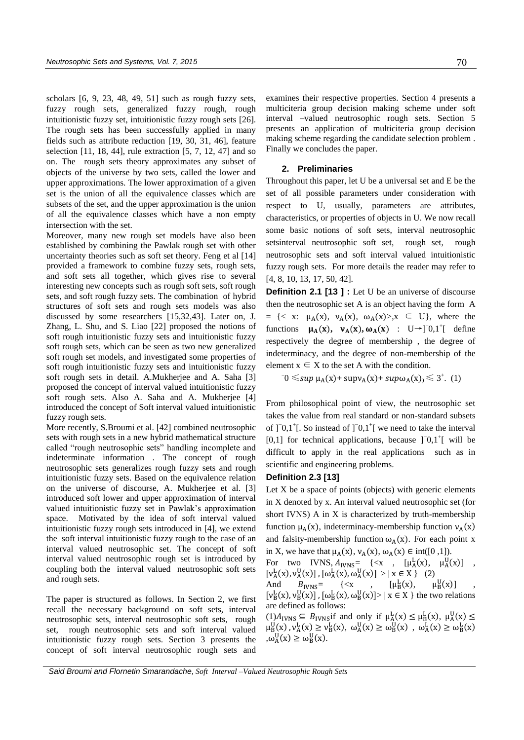scholars [6, 9, 23, 48, 49, 51] such as rough fuzzy sets, fuzzy rough sets, generalized fuzzy rough, rough intuitionistic fuzzy set, intuitionistic fuzzy rough sets [26]. The rough sets has been successfully applied in many fields such as attribute reduction [19, 30, 31, 46], feature selection [11, 18, 44], rule extraction [5, 7, 12, 47] and so on. The rough sets theory approximates any subset of objects of the universe by two sets, called the lower and upper approximations. The lower approximation of a given set is the union of all the equivalence classes which are subsets of the set, and the upper approximation is the union of all the equivalence classes which have a non empty intersection with the set.

Moreover, many new rough set models have also been established by combining the Pawlak rough set with other uncertainty theories such as soft set theory. Feng et al [14] provided a framework to combine fuzzy sets, rough sets, and soft sets all together, which gives rise to several interesting new concepts such as rough soft sets, soft rough sets, and soft rough fuzzy sets. The combination of hybrid structures of soft sets and rough sets models was also discussed by some researchers [15,32,43]. Later on, J. Zhang, L. Shu, and S. Liao [22] proposed the notions of soft rough intuitionistic fuzzy sets and intuitionistic fuzzy soft rough sets, which can be seen as two new generalized soft rough set models, and investigated some properties of soft rough intuitionistic fuzzy sets and intuitionistic fuzzy soft rough sets in detail. A.Mukherjee and A. Saha [3] proposed the concept of interval valued intuitionistic fuzzy soft rough sets. Also A. Saha and A. Mukherjee [4] introduced the concept of Soft interval valued intuitionistic fuzzy rough sets.

More recently, S.Broumi et al. [42] combined neutrosophic sets with rough sets in a new hybrid mathematical structure called "rough neutrosophic sets" handling incomplete and indeterminate information . The concept of rough neutrosophic sets generalizes rough fuzzy sets and rough intuitionistic fuzzy sets. Based on the equivalence relation on the universe of discourse, A. Mukherjee et al. [3] introduced soft lower and upper approximation of interval valued intuitionistic fuzzy set in Pawlak's approximation space. Motivated by the idea of soft interval valued intuitionistic fuzzy rough sets introduced in [4], we extend the soft interval intuitionistic fuzzy rough to the case of an interval valued neutrosophic set. The concept of soft interval valued neutrosophic rough set is introduced by coupling both the interval valued neutrosophic soft sets and rough sets.

The paper is structured as follows. In Section 2, we first recall the necessary background on soft sets, interval neutrosophic sets, interval neutrosophic soft sets, rough set, rough neutrosophic sets and soft interval valued intuitionistic fuzzy rough sets. Section 3 presents the concept of soft interval neutrosophic rough sets and examines their respective properties. Section 4 presents a multiciteria group decision making scheme under soft interval –valued neutrosophic rough sets. Section 5 presents an application of multiciteria group decision making scheme regarding the candidate selection problem . Finally we concludes the paper.

#### **2. Preliminaries**

Throughout this paper, let U be a universal set and E be the set of all possible parameters under consideration with respect to U, usually, parameters are attributes, characteristics, or properties of objects in U. We now recall some basic notions of soft sets, interval neutrosophic setsinterval neutrosophic soft set, rough set, rough neutrosophic sets and soft interval valued intuitionistic fuzzy rough sets. For more details the reader may refer to [4, 8, 10, 13, 17, 50, 42].

**Definition 2.1 [13 ] :** Let U be an universe of discourse then the neutrosophic set A is an object having the form A  $= \{ \langle x : \mu_A(x), \nu_A(x), \omega_A(x) \rangle, x \in U \}$ , where the functions  $\mu_A(x)$ ,  $\nu_A(x)$ ,  $\omega_A(x)$  : U→]<sup>-</sup>0,1<sup>+</sup>[ define respectively the degree of membership , the degree of indeterminacy, and the degree of non-membership of the element  $x \in X$  to the set A with the condition.

 $-0 \leq$ sup  $\mu_A(x)$ + supv $_A(x)$ + sup $\omega_A(x)$  $\leq$  3<sup>+</sup>. (1)

From philosophical point of view, the neutrosophic set takes the value from real standard or non-standard subsets of ]<sup>-</sup>0,1<sup>+</sup>[. So instead of ]<sup>-</sup>0,1<sup>+</sup>[ we need to take the interval [0,1] for technical applications, because ]<sup>-</sup>0,1<sup>+</sup>[ will be difficult to apply in the real applications such as in scientific and engineering problems.

#### **Definition 2.3 [13]**

Let X be a space of points (objects) with generic elements in X denoted by x. An interval valued neutrosophic set (for short IVNS) A in X is characterized by truth-membership function  $\mu_A(x)$ , indeterminacy-membership function  $\nu_A(x)$ and falsity-membership function  $\omega_A(x)$ . For each point x in X, we have that  $\mu_A(x)$ ,  $\nu_A(x)$ ,  $\omega_A(x) \in \text{int}([0,1])$ .

For two IVNS,  $A_{IVNS} = \{ \langle x \rangle, \mu_A^L(x), \mu_A^U(x) \}$ ,  $[v_{A}^{L}(x), v_{A}^{U}(x)]$ ,  $[\omega_{A}^{L}(x), \omega_{A}^{U}(x)] > | x \in X$  } (2) And  $B_{\text{IVNS}} = \{ \langle x , \rangle \}$  $L_B^L(x)$ ,  $\mu_B^U$  $\mu_{\rm B}^{\rm U}(\rm x)$ ]  $[v_B^L(x), v_B^U(x)]$ ,  $[\omega_B^L(x), \omega_B^U(x)] > | x \in X$  } the two relations

are defined as follows:  $(1)A_{IVNS} \subseteq B_{IVNS}$  if and only if  $\mu_A^L(x) \le \mu_B^L(x)$ ,  $\mu_A^U(x) \le$  $\mu_B^U(x)$ ,  $\nu_A^L(x) \ge \nu_B^L(x)$ ,  $\omega_A^U(x) \ge \omega_B^U(x)$ ,  $\omega_A^L(x) \ge \omega_B^L(x)$  $,\omega_A^U(x) \ge \omega_B^U(x)$ .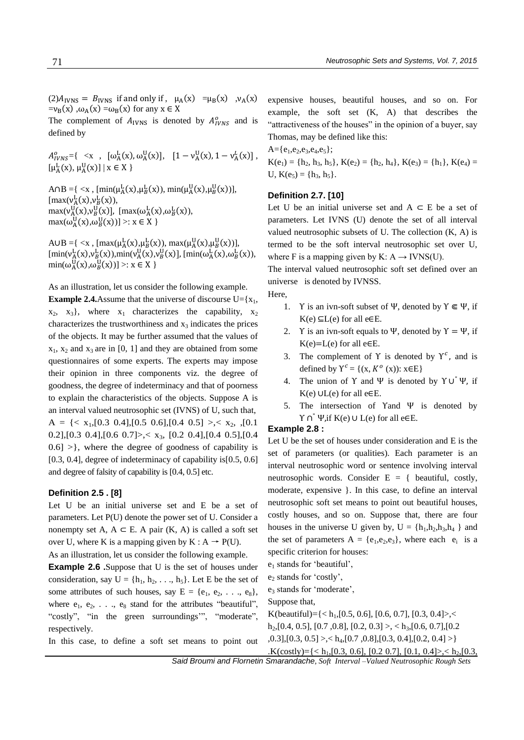(2) $A_{IVNS} = B_{IVNS}$  if and only if,  $\mu_A(x) = \mu_B(x)$ ,  $\nu_A(x)$  $=v_B(x)$ ,  $\omega_A(x) = \omega_B(x)$  for any  $x \in X$ 

The complement of  $A_{IVNS}$  is denoted by  $A_{IVNS}^o$  and is defined by

 $A_{IVNS}^{0}$ ={ <x, [ $\omega_{A}^{L}(x), \omega_{A}^{U}(x)$ ], [1 -  $\nu_{A}^{U}(x), 1 - \nu_{A}^{L}(x)$ ],  $[\mu_A^L(x), \mu_A^U(x)] \mid x \in X$  }

 $A \cap B = \{ \langle x, [min(\mu_A^L(x), \mu_B^L(x)), min(\mu_A^U(x), \mu_B^U(x))],$  $[\max(v_A^L(x), v_B^L(x))$ max( $v_A^U(x), v_B^U(x)$ ], [max( $\omega_A^L(x), \omega_B^L(x)$ ),  $max(\omega_A^U(x), \omega_B^U(x))] >: x \in X$ 

A∪B ={ <x, [max( $\mu_A^L(x), \mu_B^L(x)$ ), max( $\mu_A^U(x), \mu_B^U(x)$ )],  $[\min(\mathsf{v}_A^L(\mathsf{x}), \mathsf{v}_B^L(\mathsf{x})), \min(\mathsf{v}_A^U(\mathsf{x}), \mathsf{v}_B^U(\mathsf{x})], [\min(\omega_A^L(\mathsf{x}), \omega_B^L(\mathsf{x})),$  $\min(\omega_A^U(x), \omega_B^U(x))] >: x \in X$ 

As an illustration, let us consider the following example.

**Example 2.4.**Assume that the universe of discourse  $U = \{x_1,$  $x_2$ ,  $x_3$ }, where  $x_1$  characterizes the capability,  $x_2$ characterizes the trustworthiness and  $x<sub>3</sub>$  indicates the prices of the objects. It may be further assumed that the values of  $x_1$ ,  $x_2$  and  $x_3$  are in [0, 1] and they are obtained from some questionnaires of some experts. The experts may impose their opinion in three components viz. the degree of goodness, the degree of indeterminacy and that of poorness to explain the characteristics of the objects. Suppose A is an interval valued neutrosophic set (IVNS) of U, such that,  $A = \{< x_1, [0.3 \ 0.4], [0.5 \ 0.6], [0.4 \ 0.5] > \langle x_2, \cdot, [0.1 \ \cdot \cdot \cdot] \}$ 0.2], [0.3 0.4], [0.6 0.7] >, < x<sub>3</sub>, [0.2 0.4], [0.4 0.5], [0.4  $0.6$ ] > }, where the degree of goodness of capability is [0.3, 0.4], degree of indeterminacy of capability is [0.5, 0.6] and degree of falsity of capability is [0.4, 0.5] etc.

#### **Definition 2.5 . [8]**

Let U be an initial universe set and E be a set of parameters. Let P(U) denote the power set of U. Consider a nonempty set A,  $A \subseteq E$ . A pair  $(K, A)$  is called a soft set over U, where K is a mapping given by  $K : A \rightarrow P(U)$ .

As an illustration, let us consider the following example.

**Example 2.6** .Suppose that U is the set of houses under consideration, say  $U = \{h_1, h_2, \ldots, h_5\}$ . Let E be the set of some attributes of such houses, say  $E = \{e_1, e_2, \ldots, e_8\},\$ where  $e_1, e_2, \ldots, e_8$  stand for the attributes "beautiful", "costly", "in the green surroundings", "moderate", respectively.

In this case, to define a soft set means to point out

expensive houses, beautiful houses, and so on. For example, the soft set (K, A) that describes the "attractiveness of the houses" in the opinion of a buyer, say Thomas, may be defined like this:

 $A = \{e_1, e_2, e_3, e_4, e_5\};$ 

 $K(e_1) = \{h_2, h_3, h_5\}, K(e_2) = \{h_2, h_4\}, K(e_3) = \{h_1\}, K(e_4) =$ U,  $K(e_5) = \{h_3, h_5\}.$ 

#### **Definition 2.7. [10]**

Let U be an initial universe set and  $A \subseteq E$  be a set of parameters. Let IVNS (U) denote the set of all interval valued neutrosophic subsets of U. The collection (K, A) is termed to be the soft interval neutrosophic set over U, where F is a mapping given by K:  $A \rightarrow IVNS(U)$ .

The interval valued neutrosophic soft set defined over an universe is denoted by IVNSS.

Here,

- 1. Y is an ivn-soft subset of Ψ, denoted by  $\Upsilon \subseteq \Psi$ , if  $K(e) \subseteq L(e)$  for all e $\in E$ .
- 2. Y is an ivn-soft equals to Ψ, denoted by  $Y = \Psi$ , if  $K(e)=L(e)$  for all e $\in E$ .
- 3. The complement of Y is denoted by  $\Upsilon^c$ , and is defined by  $\Upsilon^c = \{(x, K^o(x)) : x \in E\}$
- 4. The union of  $\Upsilon$  and  $\Psi$  is denoted by  $\Upsilon \cup \Psi$ , if  $K(e) \cup L(e)$  for all e $\in E$ .
- 5. The intersection of Υand Ψ is denoted by Υ ∩" Ψ,if K(e) ∪ L(e) for all e∈E.

#### **Example 2.8 :**

Let U be the set of houses under consideration and E is the set of parameters (or qualities). Each parameter is an interval neutrosophic word or sentence involving interval neutrosophic words. Consider  $E = \{$  beautiful, costly, moderate, expensive }. In this case, to define an interval neutrosophic soft set means to point out beautiful houses, costly houses, and so on. Suppose that, there are four houses in the universe U given by,  $U = \{h_1, h_2, h_3, h_4\}$  and the set of parameters  $A = \{e_1, e_2, e_3\}$ , where each  $e_i$  is a specific criterion for houses:

 $e_1$  stands for 'beautiful',

 $e<sub>2</sub>$  stands for 'costly',

e<sub>3</sub> stands for 'moderate',

Suppose that,

K(beautiful)= $\{< h_1$ , [0.5, 0.6], [0.6, 0.7], [0.3, 0.4]>,<

 $h_2$ , [0.4, 0.5], [0.7, 0.8], [0.2, 0.3] >, < h<sub>3</sub>, [0.6, 0.7], [0.2

,0.3],[0.3, 0.5] >,< h4,[0.7 ,0.8],[0.3, 0.4],[0.2, 0.4] >}

 $K(costly)=\{< h_1, [0.3, 0.6], [0.2, 0.7], [0.1, 0.4]>, < h_2, [0.3, 0.6], [0.3, 0.6], [0.2, 0.7], [0.1, 0.4]\}$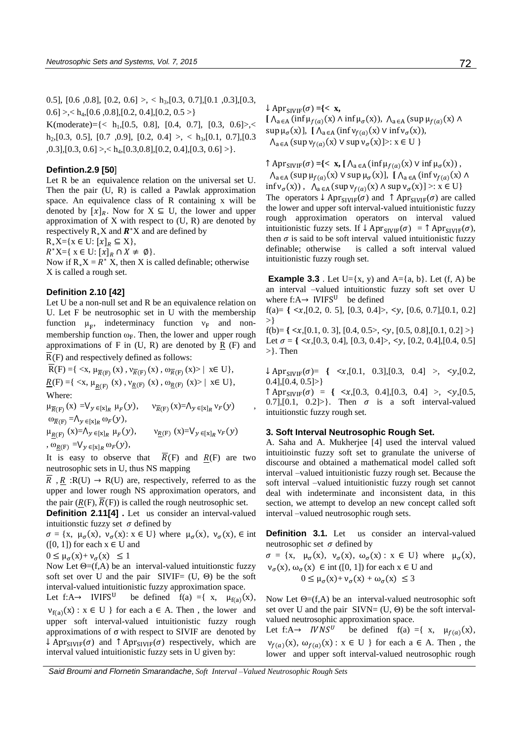0.5], [0.6, 0.8], [0.2, 0.6] >, < h<sub>3</sub>, [0.3, 0.7], [0.1, 0.3], [0.3, 0.3]  $0.6$ ] >,< h<sub>4</sub>,[0.6, 0.8],[0.2, 0.4],[0.2, 0.5 >} K(moderate)={< h<sub>1</sub>,[0.5, 0.8], [0.4, 0.7], [0.3, 0.6}>,< h<sub>2</sub>,[0.3, 0.5], [0.7, 0.9], [0.2, 0.4] >, < h<sub>3</sub>,[0.1, 0.7],[0.3  $, 0.3$ ], [0.3, 0.6] >, < h<sub>4</sub>, [0.3, 0.8], [0.2, 0.4], [0.3, 0.6] > }.

#### **Defintion.2.9 [50**]

Let R be an equivalence relation on the universal set U. Then the pair (U, R) is called a Pawlak approximation space. An equivalence class of R containing x will be denoted by  $[x]_R$ . Now for  $X \subseteq U$ , the lower and upper approximation of  $X$  with respect to  $(U, R)$  are denoted by respectively  $R_*X$  and  $\mathbb{R}^*X$  and are defined by

 $R_*X=[x \in U: [x]_R \subseteq X],$ 

 $R^*X={ x \in U: [x]_R \cap X \neq \emptyset }.$ 

Now if  $R_*X = R^*X$ , then X is called definable; otherwise X is called a rough set.

#### **Definition 2.10 [42]**

Let U be a non-null set and R be an equivalence relation on U. Let F be neutrosophic set in U with the membership function  $\mu_F$ , indeterminacy function  $v_F$  and nonmembership function  $\omega_F$ . Then, the lower and upper rough approximations of  $F$  in  $(U, R)$  are denoted by  $R$   $(F)$  and R(F) and respectively defined as follows:

 $R(F) = \{ \langle x, \mu_{\overline{R}(F)}(x), \nu_{\overline{R}(F)}(x), \omega_{\overline{R}(F)}(x) \rangle \mid x \in U \},$  $\underline{R}(\mathrm{F}) = \{ \langle x, \mu_{R(\mathrm{F})}(x), v_{R(\mathrm{F})}(x), \omega_{R(\mathrm{F})}(x) \rangle \mid x \in \mathrm{U} \},$ Where:

 $\mu_{\overline{R}(F)}(x) = V_{y \in [x]_R} \mu_F(y), \quad v_{\overline{R}(F)}(x) = \Lambda_{y \in [x]_R} v_F(y)$  $\omega_{\overline{R}(F)} = \bigwedge_{y \in [x]_R} \omega_F(y),$  $\mu_{R(F)}$  (x)= $\Lambda_{\gamma \in [x]_R}$   $\mu_F(y)$ ,  $v_{R(F)}$  (x)= $V_{\gamma \in [x]_R} v_F(y)$ 

$$
,\omega_{R(F)}=V_{y\in[x]_R}\omega_F(y),
$$

It is easy to observe that  $\overline{R}(F)$  and  $R(F)$  are two neutrosophic sets in U, thus NS mapping

R,  $R$  :R(U)  $\rightarrow$  R(U) are, respectively, referred to as the upper and lower rough NS approximation operators, and the pair  $(R(F), \overline{R}(F))$  is called the rough neutrosophic set.

**Definition 2.11[4] .** Let us consider an interval-valued intuitionstic fuzzy set  $\sigma$  defined by

 $\sigma = \{x, \mu_{\sigma}(x), \nu_{\sigma}(x): x \in U\}$  where  $\mu_{\sigma}(x), \nu_{\sigma}(x) \in \mathbb{R}$ ([0, 1]) for each  $x \in U$  and

$$
0 \le \mu_{\sigma}(x) + \nu_{\sigma}(x) \le 1
$$

Now Let  $\Theta = (f, A)$  be an interval-valued intuitionstic fuzzy soft set over U and the pair  $SIVIF=(U, \Theta)$  be the soft interval-valued intuitionistic fuzzy approximation space.

Let  $f:A \rightarrow$  IVIFS<sup>U</sup> be defined  $f(a) = \{ x, \mu_{f(a)}(x),$  $v_{f(a)}(x)$ :  $x \in U$  } for each  $a \in A$ . Then, the lower and upper soft interval-valued intuitionistic fuzzy rough approximations of σ with respect to SIVIF are denoted by  $\downarrow$  Apr<sub>SIVIF</sub>( $\sigma$ ) and  $\uparrow$  Apr<sub>SIVIF</sub>( $\sigma$ ) respectively, which are interval valued intuitionistic fuzzy sets in U given by:

 $\downarrow$  Apr<sub>SIVIF</sub>( $\sigma$ ) ={< **x**,  $\left[\right.\Lambda_{a\in A}(\inf\mu_{f(a)}(x)\wedge\inf\mu_{\sigma}(x)),\; \Lambda_{a\in A}(\sup\mu_{f(a)}(x)\wedge$  $\sup \mu_{\sigma}(x)$ ],  $[\Lambda_{a \in A} (\inf v_{f(a)}(x) \vee \inf v_{\sigma}(x)),$  $\Lambda_{a \in A}(\sup v_{f(a)}(x) \vee \sup v_{\sigma}(x)] >: x \in U$ 

 $\uparrow$  Apr<sub>SIVIF</sub>( $\sigma$ ) ={< **x**, [ $\Lambda_{a \in A}$ (inf $\mu_{f(a)}(x)$   $\vee$  inf $\mu_{\sigma}(x)$ ),  $\Lambda_{a \in A}$  (sup  $\mu_{f(a)}(x)$   $\vee$  sup  $\mu_{\sigma}(x)$ ],  $\Lambda_{a \in A}$  (inf  $v_{f(a)}(x)$   $\wedge$  $\inf v_{\sigma}(x)$ ,  $\Lambda_{a \in A} (\sup v_{f(a)}(x) \land \sup v_{\sigma}(x)) >: x \in U$ The operators  $\downarrow$  Apr<sub>SIVIF</sub>( $\sigma$ ) and  $\uparrow$  Apr<sub>SIVIF</sub>( $\sigma$ ) are called the lower and upper soft interval-valued intuitionistic fuzzy rough approximation operators on interval valued intuitionistic fuzzy sets. If  $\downarrow$  Apr<sub>SIVIF</sub>( $\sigma$ ) =  $\uparrow$  Apr<sub>SIVIF</sub>( $\sigma$ ), then  $\sigma$  is said to be soft interval valued intuitionistic fuzzy definable; otherwise is called a soft interval valued intuitionistic fuzzy rough set.

**Example 3.3** . Let  $U = \{x, y\}$  and  $A = \{a, b\}$ . Let  $(f, A)$  be an interval –valued intuitionstic fuzzy soft set over U where  $f: A \rightarrow IVIFS^U$  be defined

 $f(a) = \{ \langle x, [0.2, 0.5], [0.3, 0.4] \rangle, \langle y, [0.6, 0.7], [0.1, 0.2] \rangle \}$ >}

 $f(b)= \{ \langle x, [0.1, 0.3], [0.4, 0.5 \rangle, \langle y, [0.5, 0.8], [0.1, 0.2] \rangle \}$ Let  $\sigma = \{ \langle x, [0.3, 0.4], [0.3, 0.4] \rangle, \langle y, [0.2, 0.4], [0.4, 0.5] \rangle \}$ >}. Then

 $\downarrow$  Apr<sub>SIVIF</sub>( $\sigma$ )= { < $x$ ,[0.1, 0.3],[0.3, 0.4] >, < $y$ ,[0.2,  $0.4$ ],  $[0.4, 0.5]$  >}

 $\uparrow$  Apr<sub>SIVIF</sub>( $\sigma$ ) = { < $x$ ,[0.3, 0.4],[0.3, 0.4] >, < $y$ ,[0.5, 0.7], [0.1, 0.2] > }. Then  $\sigma$  is a soft interval-valued intuitionstic fuzzy rough set.

#### **3. Soft Interval Neutrosophic Rough Set.**

,

A. Saha and A. Mukherjee [4] used the interval valued intuitioinstic fuzzy soft set to granulate the universe of discourse and obtained a mathematical model called soft interval –valued intuitionistic fuzzy rough set. Because the soft interval –valued intuitionistic fuzzy rough set cannot deal with indeterminate and inconsistent data, in this section, we attempt to develop an new concept called soft interval –valued neutrosophic rough sets.

**Definition 3.1.** Let us consider an interval-valued neutrosophic set  $\sigma$  defined by

 $\sigma = \{x, \mu_{\sigma}(x), \nu_{\sigma}(x), \omega_{\sigma}(x) : x \in U\}$  where  $\mu_{\sigma}(x)$ ,  $v_{\sigma}(x), \omega_{\sigma}(x) \in \text{int } ([0, 1])$  for each  $x \in U$  and  $0 \leq \mu_{\sigma}(x) + v_{\sigma}(x) + \omega_{\sigma}(x) \leq 3$ 

Now Let  $\Theta = (f, A)$  be an interval-valued neutrosophic soft set over U and the pair  $SIVN=(U, \Theta)$  be the soft intervalvalued neutrosophic approximation space.

Let  $f:A \rightarrow \textit{IVNS}^U$  be defined  $f(a) = \{ x, \mu_{f(a)}(x),$  $v_{f(a)}(x), \omega_{f(a)}(x) : x \in U$  } for each  $a \in A$ . Then, the lower and upper soft interval-valued neutrosophic rough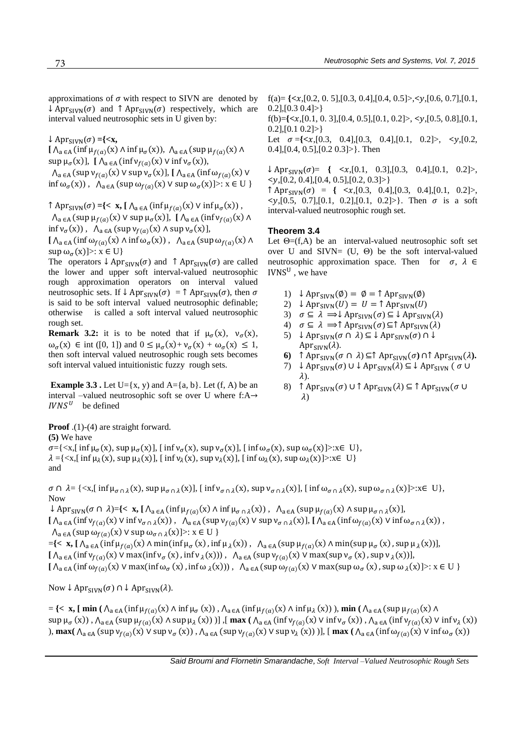approximations of  $\sigma$  with respect to SIVN are denoted by  $\downarrow$  Apr<sub>SIVN</sub>( $\sigma$ ) and  $\uparrow$  Apr<sub>SIVN</sub>( $\sigma$ ) respectively, which are interval valued neutrosophic sets in U given by:

 $\downarrow$  Apr<sub>SIVN</sub>( $\sigma$ ) ={<**x**,

 $\left[\right.\Lambda_{a\in A}(\inf\mu_{f(a)}(x)\wedge\inf\mu_{\sigma}(x)),\ \Lambda_{a\in A}(\sup\mu_{f(a)}(x)\wedge$  $\sup \mu_{\sigma}(x)$ ],  $[\Lambda_{a \in A} (\inf v_{f(a)}(x) \vee \inf v_{\sigma}(x))$ ,  $\Lambda_{a \in A} (\sup \nu_{f(a)}(x) \vee \sup \nu_{\sigma}(x))$ ,  $[\Lambda_{a \in A} (\inf \omega_{f(a)}(x) \vee \nu_{\sigma}(x))]$ 

 $\inf \omega_{\sigma}(x)$ ,  $\Lambda_{a \in A} (\sup \omega_{f(a)}(x) \vee \sup \omega_{\sigma}(x)) >: x \in U$ 

 $\uparrow$  Apr<sub>SIVN</sub>( $\sigma$ ) ={< **x**, [ $\Lambda_{a \in A}$ (inf $\mu_{f(a)}(x)$   $\vee$  inf $\mu_{\sigma}(x)$ ),  $\Lambda_{a \in A}$  (sup  $\mu_{f(a)}(x)$   $\vee$  sup  $\mu_{\sigma}(x)$ ],  $\Lambda_{a \in A}$  (inf  $v_{f(a)}(x)$   $\wedge$  $\inf v_{\sigma}(x)$ ,  $\Lambda_{a \in A} (\sup v_{f(a)}(x) \wedge \sup v_{\sigma}(x))$ ,

 $\left[\right. \bigwedge_{a \in A} (\inf \omega_{f(a)}(x) \wedge \inf \omega_{\sigma}(x)) \cdot \bigwedge_{a \in A} (\sup \omega_{f(a)}(x) \wedge$  $\sup \omega_{\sigma}(x)]$  >:  $x \in U$ }

The operators  $\downarrow$  Apr<sub>SIVN</sub>( $\sigma$ ) and  $\uparrow$  Apr<sub>SIVN</sub>( $\sigma$ ) are called the lower and upper soft interval-valued neutrosophic rough approximation operators on interval valued neutrosophic sets. If  $\downarrow$  Apr<sub>SIVN</sub>( $\sigma$ ) =  $\uparrow$  Apr<sub>SIVN</sub>( $\sigma$ ), then  $\sigma$ is said to be soft interval valued neutrosophic definable; otherwise is called a soft interval valued neutrosophic rough set.

**Remark 3.2:** it is to be noted that if  $\mu_{\sigma}(x)$ ,  $\nu_{\sigma}(x)$ ,  $\omega_{\sigma}(x) \in \text{int } ([0, 1]) \text{ and } 0 \leq \mu_{\sigma}(x) + \nu_{\sigma}(x) + \omega_{\sigma}(x) \leq 1,$ then soft interval valued neutrosophic rough sets becomes soft interval valued intuitionistic fuzzy rough sets.

**Example 3.3 .** Let  $U = \{x, y\}$  and  $A = \{a, b\}$ . Let  $(f, A)$  be an interval –valued neutrosophic soft se over U where f:A→  $IVNS<sup>U</sup>$  be defined

**Proof** .(1)-(4) are straight forward.

**(5)** We have

 $\sigma = \{ \langle x, [\text{inf } \mu_{\sigma}(x), \text{sup } \mu_{\sigma}(x)], [\text{inf } \nu_{\sigma}(x), \text{sup } \nu_{\sigma}(x)], [\text{inf } \omega_{\sigma}(x), \text{sup } \omega_{\sigma}(x)] \rangle : x \in U \},$  $\lambda = \{ \langle x, \int \inf \mu_{\lambda}(x), \sup \mu_{\lambda}(x) \rangle, \int \inf \nu_{\lambda}(x), \sup \nu_{\lambda}(x) \}$ ,  $\{ \inf \omega_{\lambda}(x), \sup \omega_{\lambda}(x) \} \times \mathbb{E}$  U and

 $\sigma \cap \lambda = \{ \langle x, [\text{ inf } \mu_{\sigma \cap \lambda}(x), \text{sup } \mu_{\sigma \cap \lambda}(x)], [\text{ inf } \nu_{\sigma \cap \lambda}(x), \text{sup } \nu_{\sigma \cap \lambda}(x)], [\text{ inf } \omega_{\sigma \cap \lambda}(x), \text{sup } \omega_{\sigma \cap \lambda}(x)] \rangle : x \in U \},$ Now

 $\downarrow$  Apr<sub>SIVN</sub>( $\sigma \cap \lambda$ )={< **x**,  $[\Lambda_{a \in A} (\inf \mu_{f(a)}(x) \land \inf \mu_{\sigma \cap \lambda}(x))$ ,  $\Lambda_{a \in A} (\sup \mu_{f(a)}(x) \land \sup \mu_{\sigma \cap \lambda}(x))$ ,  $[\Lambda_{a \in A}(\inf v_{f(a)}(x) \vee \inf v_{\sigma \cap \lambda}(x)), \Lambda_{a \in A}(\sup v_{f(a)}(x) \vee \sup v_{\sigma \cap \lambda}(x)], [\Lambda_{a \in A}(\inf \omega_{f(a)}(x) \vee \inf \omega_{\sigma \cap \lambda}(x)),$  $\Lambda_{a \in A}$  (sup  $\omega_{f(a)}(x)$   $\vee$  sup  $\omega_{\sigma \cap \lambda}(x)$ ) $\ge x \in U$  }

 $=\{ <\mathbf{x}, \mathbf{[}\ \wedge_{\mathbf{a}\in\mathbf{A}}(\inf\mu_{f(a)}(x) \wedge \min(\inf\mu_{\sigma}(x),\inf\mu_{\lambda}(x))\ ,\ \wedge_{\mathbf{a}\in\mathbf{A}}(\sup\mu_{f(a)}(x) \wedge \min(\sup\mu_{\sigma}(x),\sup\mu_{\lambda}(x))\},\$  $[\ \bigwedge_{a \in A} (\inf v_{f(a)}(x) \vee \max(\inf v_{\sigma}(x), \inf v_{\lambda}(x))) , \ \bigwedge_{a \in A} (\sup v_{f(a)}(x) \vee \max(\sup v_{\sigma}(x), \sup v_{\lambda}(x)))]$  $[\ \Lambda_{a \in A}(\inf \omega_{f(a)}(x) \vee \max(\inf \omega_{\sigma}(x), \inf \omega_{\lambda}(x)))$ ,  $\Lambda_{a \in A}(\sup \omega_{f(a)}(x) \vee \max(\sup \omega_{\sigma}(x), \sup \omega_{\lambda}(x)) >: x \in U \}$ 

Now ↓ Apr<sub>SIVN</sub> $(σ)$  ∩ ↓ Apr<sub>SIVN</sub> $(λ)$ .

 $=$  { $\lt$  **x**, [ min ( $\Lambda_{a \in A}$  (inf  $\mu_{f(a)}(x) \wedge \inf \mu_{\sigma}(x)$ ),  $\Lambda_{a \in A}$  (inf  $\mu_{f(a)}(x) \wedge \inf \mu_{\lambda}(x)$ )), min ( $\Lambda_{a \in A}$  (sup  $\mu_{f(a)}(x) \wedge \pi$  $\sup \mu_{\sigma}(x)$ ),  $\Lambda_{a \in A} (\sup \mu_{f(a)}(x) \land \sup \mu_{\lambda}(x))$ ],  $\lim_{a \in A} (\inf \nu_{f(a)}(x) \lor \inf \nu_{\sigma}(x))$ ,  $\Lambda_{a \in A} (\inf \nu_{f(a)}(x) \lor \inf \nu_{\lambda}(x))$ ), **max**( $\Lambda_{a \in A}$  (sup  $v_{f(a)}(x) \vee \sup v_{\sigma}(x)$ ),  $\Lambda_{a \in A}$  (sup  $v_{f(a)}(x) \vee \sup v_{\lambda}(x)$ ))], [ **max** ( $\Lambda_{a \in A}$  (inf  $\omega_{f(a)}(x) \vee \inf \omega_{\sigma}(x)$ )

f(a)= **{<**,[0.2, 0. 5],[0.3, 0.4],[0.4, 0.5]>,**<**,[0.6, 0.7],[0.1,  $0.2$ ],  $[0.3 0.4]$  >}

f(b)=**{<**,[0.1, 0. 3],[0.4, 0.5],[0.1, 0.2]>, **<**,[0.5, 0.8],[0.1,  $0.2$ ],  $[0.1 0.2]$  >}

Let  $\sigma = \{ \langle x, [0.3, 0.4], [0.3, 0.4], [0.1, 0.2] \rangle, \langle y, [0.2, 0.4], [0.2, 0.4], [0.2, 0.2] \rangle \}$  $0.4$ ], [0.4, 0.5], [0.2 0.3] > }. Then

 $\downarrow$  Apr<sub>SIVN</sub>( $\sigma$ )= { < $x$ ,[0.1, 0.3],[0.3, 0.4],[0.1, 0.2]>,  $\langle \mathcal{Y}, [0.2, 0.4], [0.4, 0.5], [0.2, 0.3] \rangle \}$ 

 $\uparrow$  Apr<sub>SIVN</sub>( $\sigma$ ) = { < $x$ ,[0.3, 0.4],[0.3, 0.4],[0.1, 0.2]>,  $\langle y, [0.5, 0.7], [0.1, 0.2], [0.1, 0.2] \rangle$ . Then  $\sigma$  is a soft interval-valued neutrosophic rough set.

#### **Theorem 3.4**

Let  $\Theta = (f, A)$  be an interval-valued neutrosophic soft set over U and SIVN=  $(U, \Theta)$  be the soft interval-valued neutrosophic approximation space. Then for  $\sigma$ ,  $\lambda \in$  $IVNS<sup>U</sup>$ , we have

- 1)  $\downarrow$  Apr<sub>SIVN</sub>( $\emptyset$ ) =  $\emptyset$  =  $\uparrow$  Apr<sub>SIVN</sub>( $\emptyset$ )
- 2)  $\downarrow$  Apr<sub>SIVN</sub>(U) =  $U = \uparrow$  Apr<sub>SIVN</sub>(U)
- 3)  $\sigma \subseteq \lambda \implies \text{Apr}_{\text{SIVN}}(\sigma) \subseteq \downarrow \text{Apr}_{\text{SIVN}}(\lambda)$
- 4)  $\sigma \subseteq \lambda \implies \uparrow$  Apr<sub>SIVN</sub> $(\sigma) \subseteq \uparrow$  Apr<sub>SIVN</sub> $(\lambda)$
- 5)  $\downarrow$  Apr<sub>SIVN</sub> $(\sigma \cap \lambda) \subseteq \downarrow$  Apr<sub>SIVN</sub> $(\sigma) \cap \downarrow$  $Apr_{SIVN}(\lambda)$ .
- **6)** ↑ Apr<sub>SIVN</sub> $(\sigma \cap \lambda)$  ⊆↑ Apr<sub>SIVN</sub> $(\sigma)$  ∩↑ Apr<sub>SIVN</sub> $(\lambda)$ .
- 7) ↓ Apr<sub>SIVN</sub> $(\sigma)$  ∪ ↓ Apr<sub>SIVN</sub> $(\lambda) \subseteq$  ↓ Apr<sub>SIVN</sub> ( $\sigma$  ∪  $\lambda$ ).
- 8) ↑ Apr<sub>SIVN</sub> $(\sigma)$  U ↑ Apr<sub>SIVN</sub> $(\lambda) \subseteq \uparrow$  Apr<sub>SIVN</sub> $(\sigma \cup$  $\lambda$ )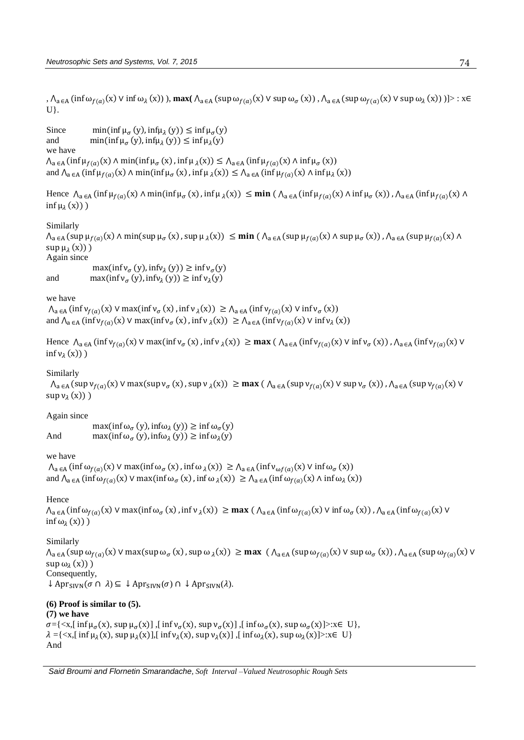,  $\Lambda_{a \in A}$  (inf  $\omega_{f(a)}(x) \vee \inf \omega_{\lambda}(x)$ ), **max**( $\Lambda_{a \in A}$  (sup  $\omega_{f(a)}(x) \vee \sup \omega_{\sigma}(x)$ ),  $\Lambda_{a \in A}$  (sup  $\omega_{f(a)}(x) \vee \sup \omega_{\lambda}(x)$ )) = : x  $\in$ U}.

Since  $\text{min}(\text{inf }\mu_{\sigma}(y), \text{inf }\mu_{\lambda}(y)) \leq \text{inf }\mu_{\sigma}(y)$ and  $\min(\inf \mu_{\sigma}(y), \inf \mu_{\lambda}(y)) \leq \inf \mu_{\lambda}(y)$ we have

 $\Lambda_{a \in A}$  (inf  $\mu_{f(a)}(x) \wedge min(int \mu_{\sigma}(x), inf \mu_{\lambda}(x)) \leq \Lambda_{a \in A}$  (inf  $\mu_{f(a)}(x) \wedge inf \mu_{\sigma}(x)$ ) and  $\Lambda_{a \in A}$  (inf  $\mu_{f(a)}(x) \wedge min(int \mu_{\sigma}(x), inf \mu_{\lambda}(x)) \leq \Lambda_{a \in A} (inf \mu_{f(a)}(x) \wedge inf \mu_{\lambda}(x))$ 

Hence  $\Lambda_{a \in A}(\inf \mu_{f(a)}(x) \wedge \min(\inf \mu_{\sigma}(x), \inf \mu_{\lambda}(x)) \leq \min (\Lambda_{a \in A}(\inf \mu_{f(a)}(x) \wedge \inf \mu_{\sigma}(x))$ ,  $\Lambda_{a \in A}(\inf \mu_{f(a)}(x) \wedge \min(\Pi_{a \in A}(\min \mu_{\sigma}(x))))$  $\inf \mu_{\lambda}(x))$ )

Similarly

 $\Lambda_{a\in A}(\sup \mu_{f(a)}(x) \wedge min(\sup \mu_{\sigma}(x), \sup \mu_{\lambda}(x)) \leq \min (\Lambda_{a\in A}(\sup \mu_{f(a)}(x) \wedge \sup \mu_{\sigma}(x))$ ,  $\Lambda_{a\in A}(\sup \mu_{f(a)}(x) \wedge$  $\sup \mu_{\lambda}(x))$ ) Again since

 $\max(\inf v_{\sigma}(y), \inf v_{\lambda}(y)) \geq \inf v_{\sigma}(y)$ and  $\max(\inf v_{\sigma}(y), \inf v_{\lambda}(y)) \geq \inf v_{\lambda}(y)$ 

## we have

 $\Lambda_{a \in A}$  (inf  $v_{f(a)}(x)$   $\vee$  max(inf  $v_{\sigma}(x)$ , inf  $v_{\lambda}(x) \geq \Lambda_{a \in A}$  (inf  $v_{f(a)}(x)$   $\vee$  inf  $v_{\sigma}(x)$ ) and  $\Lambda_{a \in A}$  (inf  $v_{f(a)}(x)$   $\vee$  max(inf  $v_{\sigma}(x)$ , inf  $v_{\lambda}(x)$ )  $\geq \Lambda_{a \in A}$  (inf  $v_{f(a)}(x)$   $\vee$  inf  $v_{\lambda}(x)$ )

Hence  $\Lambda_{a \in A}(\inf v_{f(a)}(x) \vee \max(\inf v_{\sigma}(x), \inf v_{\lambda}(x)) \ge \max (\Lambda_{a \in A}(\inf v_{f(a)}(x) \vee \inf v_{\sigma}(x)), \Lambda_{a \in A}(\inf v_{f(a)}(x) \vee \min v_{\lambda}(x))$  $\inf v_\lambda(x))$ )

## Similarly

 $\Lambda_{a\in A}(\sup v_{f(a)}(x) \vee \max(\sup v_{\sigma}(x), \sup v_{\lambda}(x))) \geq \max (\Lambda_{a\in A}(\sup v_{f(a)}(x) \vee \sup v_{\sigma}(x))$ ,  $\Lambda_{a\in A}(\sup v_{f(a)}(x) \vee \sup v_{\sigma}(x))$  $\sup v_\lambda(x))$ )

Again since

 $\max(\inf \omega_{\sigma}(y), \inf \omega_{\lambda}(y)) \geq \inf \omega_{\sigma}(y)$ And  $\max(\inf \omega_{\sigma}(y), \inf \omega_{\lambda}(y)) \ge \inf \omega_{\lambda}(y)$ 

we have

 $\Lambda_{a \in A}$  (inf  $\omega_{f(a)}(x)$   $\vee$  max(inf  $\omega_{\sigma}(x)$ , inf  $\omega_{\lambda}(x) \geq \Lambda_{a \in A}$  (inf  $\nu_{\omega f(a)}(x)$   $\vee$  inf  $\omega_{\sigma}(x)$ ) and  $\Lambda_{a \in A}$  (inf  $\omega_{f(a)}(x)$   $\vee$  max(inf  $\omega_{\sigma}(x)$ , inf  $\omega_{\lambda}(x)$ )  $\geq \Lambda_{a \in A}$  (inf  $\omega_{f(a)}(x) \wedge \inf \omega_{\lambda}(x)$ )

Hence

 $\Lambda_{a \in A}$  (inf  $\omega_{f(a)}(x)$   $\vee$  max(inf  $\omega_{\sigma}(x)$ , inf  $\nu_{\lambda}(x) \ge \max (\Lambda_{a \in A} (\inf \omega_{f(a)}(x) \vee \inf \omega_{\sigma}(x))$ ,  $\Lambda_{a \in A} (\inf \omega_{f(a)}(x) \vee \inf \omega_{\sigma}(x))$  $\inf \omega_{\lambda}(x)$ )

Similarly

 $\Lambda_{a\in A}(\sup \omega_{f(a)}(x) \vee \max(\sup \omega_{\sigma}(x), \sup \omega_{\lambda}(x)) \ge \max (\Lambda_{a\in A}(\sup \omega_{f(a)}(x) \vee \sup \omega_{\sigma}(x))$ ,  $\Lambda_{a\in A}(\sup \omega_{f(a)}(x) \vee \max(\Lambda_{a\in A}(\sup \omega_{f(a)}(x))))$  $\sup \omega_{\lambda}(x))$ ) Consequently,  $\downarrow$  Apr<sub>SIVN</sub>( $\sigma \cap \lambda$ )  $\subseteq$   $\downarrow$  Apr<sub>SIVN</sub>( $\sigma$ )  $\cap$   $\downarrow$  Apr<sub>SIVN</sub>( $\lambda$ ).

## **(6) Proof is similar to (5).**

**(7) we have**  $\sigma = \{ \langle x, [\text{ inf } \mu_{\sigma}(x), \text{ sup } \mu_{\sigma}(x)] , [\text{ inf } \nu_{\sigma}(x), \text{ sup } \nu_{\sigma}(x)] , [\text{ inf } \omega_{\sigma}(x), \text{ sup } \omega_{\sigma}(x)] \rangle : x \in U \},$  $\lambda = \{ \langle x, [\text{ inf } \mu_{\lambda}(x), \text{ sup } \mu_{\lambda}(x)], [\text{ inf } \nu_{\lambda}(x), \text{ sup } \nu_{\lambda}(x)] , [\text{ inf } \omega_{\lambda}(x), \text{ sup } \omega_{\lambda}(x)] \rangle : x \in U \}$ And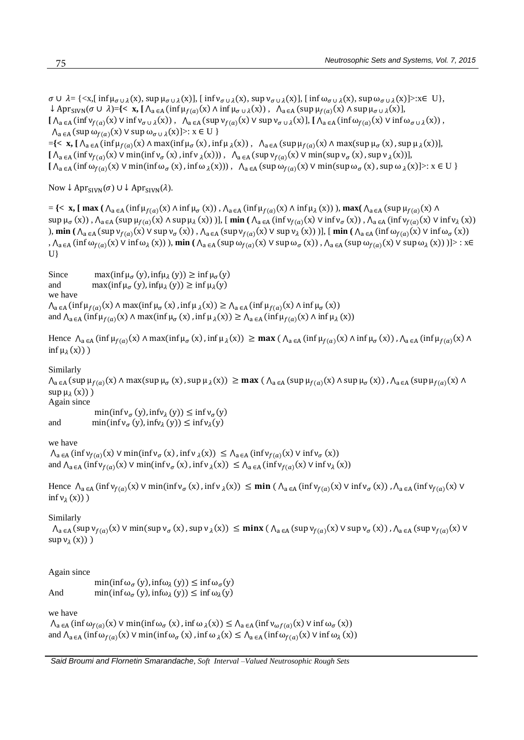$\sigma \cup \lambda = \{ \langle x, [\text{ inf } \mu_{\sigma \cup \lambda}(x), \text{sup } \mu_{\sigma \cup \lambda}(x)], [\text{ inf } \nu_{\sigma \cup \lambda}(x), \text{sup } \nu_{\sigma \cup \lambda}(x)], [\text{ inf } \omega_{\sigma \cup \lambda}(x), \text{sup } \omega_{\sigma \cup \lambda}(x)] \rangle : x \in U \},$  $\downarrow$  Apr<sub>SIVN</sub>( $\sigma \cup \lambda$ )={< **x**, [ $\Lambda_{a \in A}$ (inf $\mu_{f(a)}(x) \wedge \inf \mu_{\sigma \cup \lambda}(x)$ ),  $\Lambda_{a \in A}$ (sup $\mu_{f(a)}(x) \wedge \sup \mu_{\sigma \cup \lambda}(x)$ ],  $\left[\right.\Lambda_{a\in A}(\inf\nu_{f(a)}(x)\vee\inf\nu_{\sigma\cup\lambda}(x))\right.,\ \Lambda_{a\in A}(\sup\nu_{f(a)}(x)\vee\sup\nu_{\sigma\cup\lambda}(x))\right],\left[\Lambda_{a\in A}(\inf\omega_{f(a)}(x)\vee\inf\omega_{\sigma\cup\lambda}(x))\right],$  $\Lambda_{a \in A} (\sup \omega_{f(a)}(x) \vee \sup \omega_{\sigma \cup \lambda}(x)) >: x \in U$  $=\{ <\mathbf{x}, \mathbf{[}\ \wedge_{a \in A} (\inf \mu_{f(a)}(x) \wedge \max(\inf \mu_{\sigma}(x), \inf \mu_{\lambda}(x)) , \ \wedge_{a \in A} (\sup \mu_{f(a)}(x) \wedge \max(\sup \mu_{\sigma}(x), \sup \mu_{\lambda}(x))], \}$  $[\ \bigwedge_{a \in A} (\inf v_{f(a)}(x) \vee \min(\inf v_{\sigma}(x), \inf v_{\lambda}(x))) , \ \bigwedge_{a \in A} (\sup v_{f(a)}(x) \vee \min(\sup v_{\sigma}(x), \sup v_{\lambda}(x))],$  $[\Lambda_{a \in A}(\inf \omega_{f(a)}(x) \vee \min(\inf \omega_{\sigma}(x), \inf \omega_{\lambda}(x)))$ ,  $\Lambda_{a \in A}(\sup \omega_{f(a)}(x) \vee \min(\sup \omega_{\sigma}(x), \sup \omega_{\lambda}(x)) >: x \in U$ 

Now  $\downarrow$  Apr<sub>SIVN</sub>( $\sigma$ )  $\cup$   $\downarrow$  Apr<sub>SIVN</sub>( $\lambda$ ).

 $=$  { $\lt x$ ,  $\lceil \max (\bigwedge_{a \in A} (\inf \mu_{f(a)}(x) \wedge \inf \mu_{\sigma}(x)) \bigwedge_{a \in A} (\inf \mu_{f(a)}(x) \wedge \inf \mu_{\lambda}(x)) \bigwedge \max (\bigwedge_{a \in A} (\sup \mu_{f(a)}(x) \wedge \inf \mu_{\sigma}(x)) \bigwedge_{a \in A} (\inf \mu_{f(a)}(x)) \bigwedge_{a \in A} (\inf \mu_{f(a)}(x)) \bigwedge_{a \in A} (\inf \mu_{f(a)}(x)) \bigwedge_{a \in A} (\inf \mu_{f(a)}(x)) \bigwedge_{a \in A} (\$  $\sup \mu_{\sigma}(x)$ ),  $\Lambda_{a \in A}(\sup \mu_{f(a)}(x) \land \sup \mu_{\lambda}(x))$ ], [ **min**  $(\Lambda_{a \in A}(\inf v_{f(a)}(x) \lor \inf v_{\sigma}(x))$ ,  $\Lambda_{a \in A}(\inf v_{f(a)}(x) \lor \inf v_{\lambda}(x))$ ), **min**  $(\bigwedge_{a \in A} (\sup v_{f(a)}(x) \vee \sup v_{\sigma}(x))$ ,  $\bigwedge_{a \in A} (\sup v_{f(a)}(x) \vee \sup v_{\lambda}(x))$ )],  $[\min (\bigwedge_{a \in A} (\inf \omega_{f(a)}(x) \vee \inf \omega_{\sigma}(x))$ ,  $\Lambda_{a \in A}$  (inf  $\omega_{f(a)}(x) \vee \inf \omega_{\lambda}(x)$ ), **min** ( $\Lambda_{a \in A}$  (sup  $\omega_{f(a)}(x) \vee \sup \omega_{\sigma}(x)$ ),  $\Lambda_{a \in A}$  (sup  $\omega_{f(a)}(x) \vee \sup \omega_{\lambda}(x)$ )) = : x  $\in$ U}

Since  $\max(\inf \mu_{\sigma}(y), \inf \mu_{\lambda}(y)) \geq \inf \mu_{\sigma}(y)$ and  $\max(\inf \mu_{\sigma}(y), \inf \mu_{\lambda}(y)) \geq \inf \mu_{\lambda}(y)$ we have  $\Lambda_{a \in A}$  (inf  $\mu_{f(a)}(x) \wedge \max(\inf \mu_{\sigma}(x), \inf \mu_{\lambda}(x)) \ge \Lambda_{a \in A}$  (inf  $\mu_{f(a)}(x) \wedge \inf \mu_{\sigma}(x)$ ) and  $\Lambda_{a \in A}$  (inf  $\mu_{f(a)}(x) \wedge \max(\inf \mu_{\sigma}(x), \inf \mu_{\lambda}(x)) \ge \Lambda_{a \in A}$  (inf  $\mu_{f(a)}(x) \wedge \inf \mu_{\lambda}(x)$ )

```
Hence \Lambda_{a \in A}(\inf \mu_{f(a)}(x) \wedge \max(\inf \mu_{\sigma}(x), \inf \mu_{\lambda}(x)) \ge \max (\Lambda_{a \in A}(\inf \mu_{f(a)}(x) \wedge \inf \mu_{\sigma}(x)), \Lambda_{a \in A}(\inf \mu_{f(a)}(x) \wedge \min \mu_{\sigma}(x))\inf \mu_{\lambda}(x)))
```
Similarly

 $\Lambda_{a\in A}(\sup \mu_{f(a)}(x) \wedge \max(\sup \mu_{\sigma}(x), \sup \mu_{\lambda}(x)) \geq \max (\Lambda_{a\in A}(\sup \mu_{f(a)}(x) \wedge \sup \mu_{\sigma}(x))$ ,  $\Lambda_{a\in A}(\sup \mu_{f(a)}(x) \wedge \min(\Lambda_{a\in A}(\sup \mu_{\sigma}(x))))$  $\sup \mu_{\lambda}(x))$ ) Again since

 $\min(\inf v_{\sigma}(y), \inf v_{\lambda}(y)) \leq \inf v_{\sigma}(y)$ and  $\min(\inf v_{\sigma}(y), \inf v_{\lambda}(y)) \leq \inf v_{\lambda}(y)$ 

### we have

 $\Lambda_{a \in A}(\inf v_{f(a)}(x) \vee \min(\inf v_{\sigma}(x), \inf v_{\lambda}(x)) \leq \Lambda_{a \in A}(\inf v_{f(a)}(x) \vee \inf v_{\sigma}(x))$ and  $\Lambda_{a \in A}$  (inf  $v_{f(a)}(x)$   $\vee$  min(inf  $v_{\sigma}(x)$ , inf  $v_{\lambda}(x)$ )  $\leq \Lambda_{a \in A}$  (inf  $v_{f(a)}(x)$   $\vee$  inf  $v_{\lambda}(x)$ )

Hence  $\Lambda_{a \in A}(\inf v_{f(a)}(x) \vee \min(\inf v_{\sigma}(x), \inf v_{\lambda}(x)) \le \min (\Lambda_{a \in A}(\inf v_{f(a)}(x) \vee \inf v_{\sigma}(x)), \Lambda_{a \in A}(\inf v_{f(a)}(x) \vee \min v_{\sigma}(x))$  $\inf v_\lambda(x))$ )

Similarly

 $\Lambda_{a \in A} (\sup v_{f(a)}(x) \vee min(\sup v_{\sigma}(x), \sup v_{\lambda}(x)) \le \min x (\Lambda_{a \in A} (\sup v_{f(a)}(x) \vee \sup v_{\sigma}(x))$ ,  $\Lambda_{a \in A} (\sup v_{f(a)}(x) \vee \sup v_{\sigma}(x))$  $\sup v_\lambda(x))$ )

Again since

 $\min(\inf \omega_{\sigma}(y), \inf \omega_{\lambda}(y)) \leq \inf \omega_{\sigma}(y)$ And  $\min(\inf \omega_{\sigma}(y), \inf \omega_{\lambda}(y)) \leq \inf \omega_{\lambda}(y)$ 

we have

 $\Lambda_{a \in A}$  (inf  $\omega_{f(a)}(x)$   $\vee$  min(inf  $\omega_{\sigma}(x)$ , inf  $\omega_{\lambda}(x) \leq \Lambda_{a \in A}$  (inf  $\nu_{\omega_{f(a)}}(x)$   $\vee$  inf  $\omega_{\sigma}(x)$ ) and  $\Lambda_{a \in A}$  (inf  $\omega_{f(a)}(x)$   $\vee$  min(inf  $\omega_{\sigma}(x)$ , inf  $\omega_{\lambda}(x) \leq \Lambda_{a \in A}$  (inf  $\omega_{f(a)}(x)$   $\vee$  inf  $\omega_{\lambda}(x)$ )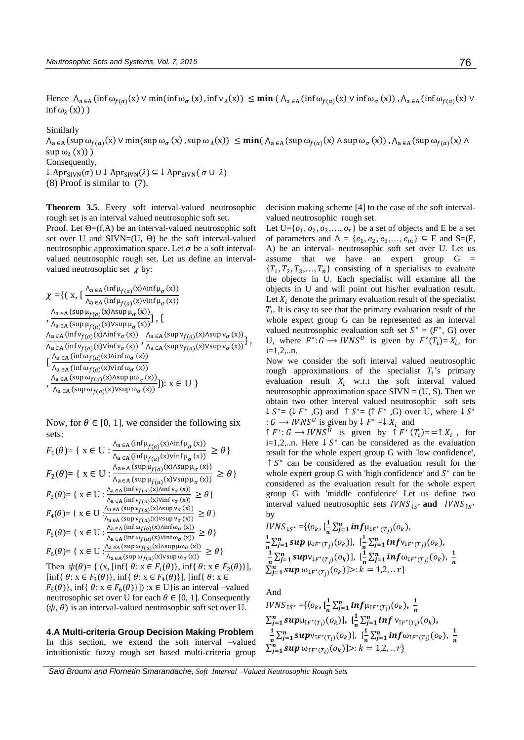Hence  $\Lambda_{a \in A} (\inf \omega_{f(a)}(x) \vee \min(\inf \omega_{\sigma}(x), \inf \nu_{\lambda}(x)) \le \min (\Lambda_{a \in A} (\inf \omega_{f(a)}(x) \vee \inf \omega_{\sigma}(x))$ ,  $\Lambda_{a \in A} (\inf \omega_{f(a)}(x) \vee \nu_{\lambda}(x))$  $\inf \omega_{\lambda}(x)$ )

Similarly

 $\Lambda_{a\in A}(\sup \omega_{f(a)}(x) \vee \min(\sup \omega_{\sigma}(x), \sup \omega_{\lambda}(x)) \leq \min(\Lambda_{a\in A}(\sup \omega_{f(a)}(x) \wedge \sup \omega_{\sigma}(x))$ ,  $\Lambda_{a\in A}(\sup \omega_{f(a)}(x) \wedge \min(\Lambda_{a\in A}(\sup \omega_{f(a)}(x))))$  $\sup \omega_{\lambda}(x))$ )

Consequently,

 $\downarrow$  Apr<sub>SIVN</sub>( $\sigma$ ) ∪  $\downarrow$  Apr<sub>SIVN</sub>( $\lambda$ ) ⊆  $\downarrow$  Apr<sub>SIVN</sub>( $\sigma$  ∪  $\lambda$ ) (8) Proof is similar to (7).

**Theorem 3.5**. Every soft interval-valued neutrosophic rough set is an interval valued neutrosophic soft set.

Proof. Let  $\Theta = (f,A)$  be an interval-valued neutrosophic soft set over U and  $SIVN=(U, \Theta)$  be the soft interval-valued neutrosophic approximation space. Let  $\sigma$  be a soft intervalvalued neutrosophic rough set. Let us define an intervalvalued neutrosophic set  $\chi$  by:

$$
\chi = \left\{ \left( x, \left[ \frac{\Lambda_{a \in A} \left( \inf \mu_{f(a)}(x) \wedge \inf \mu_{\sigma}(x) \right)}{\Lambda_{a \in A} \left( \inf \mu_{f(a)}(x) \vee \inf \mu_{\sigma}(x) \right)} \right. \right. \right. \\ \left. \left. \frac{\Lambda_{a \in A} \left( \sup \mu_{f(a)}(x) \wedge \sup \mu_{\sigma}(x) \right)}{\Lambda_{a \in A} \left( \sup \mu_{f(a)}(x) \wedge \sup \mu_{\sigma}(x) \right)} \right], \left[ \frac{\Lambda_{a \in A} \left( \inf \nu_{f(a)}(x) \wedge \inf \nu_{\sigma}(x) \right)}{\Lambda_{a \in A} \left( \inf \nu_{f(a)}(x) \wedge \inf \nu_{\sigma}(x) \right)} \right. \\ \left. \left. \frac{\Lambda_{a \in A} \left( \inf \nu_{f(a)}(x) \vee \inf \nu_{\sigma}(x) \right)}{\Lambda_{a \in A} \left( \inf \omega_{f(a)}(x) \wedge \inf \omega_{\sigma}(x) \right)} \right] \right\}, \left[ \frac{\Lambda_{a \in A} \left( \inf \nu_{f(a)}(x) \wedge \inf \nu_{\sigma}(x) \right)}{\Lambda_{a \in A} \left( \inf \nu_{f(a)}(x) \vee \inf \nu_{\sigma}(x) \right)} \right], \left[ \frac{\Lambda_{a \in A} \left( \sup \nu_{f(a)}(x) \vee \min \nu_{\sigma}(x) \right)}{\Lambda_{a \in A} \left( \sup \nu_{f(a)}(x) \vee \sup \nu_{\sigma}(x) \right)} \right] \right): x \in U \right\}
$$

Now, for  $\theta \in [0, 1]$ , we consider the following six sets:

$$
F_1(\theta) = \{ \ x \in U : \frac{\lambda_{a \in A}(\inf \mu_{f(a)}(x) \wedge \inf \mu_{\sigma}(x))}{\lambda_{a \in A}(\inf \mu_{f(a)}(x) \vee \inf \mu_{\sigma}(x))} \ge \theta \}
$$
\n
$$
F_2(\theta) = \{ \ x \in U : \frac{\lambda_{a \in A}(\sup \mu_{f(a)}(x) \wedge \sup \mu_{\sigma}(x))}{\lambda_{a \in A}(\sup \mu_{f(a)}(x) \vee \sup \mu_{\sigma}(x))} \ge \theta \}
$$
\n
$$
F_3(\theta) = \{ \ x \in U : \frac{\lambda_{a \in A}(\inf \nu_{f(a)}(x) \wedge \inf \nu_{\sigma}(x))}{\lambda_{a \in A}(\inf \nu_{f(a)}(x) \vee \inf \nu_{\sigma}(x))} \ge \theta \}
$$
\n
$$
F_4(\theta) = \{ \ x \in U : \frac{\lambda_{a \in A}(\sup \nu_{f(a)}(x) \wedge \sup \nu_{\sigma}(x))}{\lambda_{a \in A}(\sup \nu_{f(a)}(x) \vee \sup \nu_{\sigma}(x))} \ge \theta \}
$$
\n
$$
F_5(\theta) = \{ \ x \in U : \frac{\lambda_{a \in A}(\inf \omega_{f(a)}(x) \wedge \inf \omega_{\sigma}(x))}{\lambda_{a \in A}(\inf \omega_{f(a)}(x) \vee \inf \omega_{\sigma}(x))} \ge \theta \}
$$
\n
$$
F_6(\theta) = \{ \ x \in U : \frac{\lambda_{a \in A}(\sup \omega_{f(a)}(x) \wedge \sup \mu_{\omega}(x))}{\lambda_{a \in A}(\sup \omega_{f(a)}(x) \vee \sup \mu_{\omega}(x))} \ge \theta \}
$$

Then  $\psi(\theta) = \{ (x, [\inf{\theta : x \in F_1(\theta)}], \inf{\theta : x \in F_2(\theta)} \}$ , [inf{  $\theta$ :  $x \in F_3(\theta)$ }, inf{  $\theta$ :  $x \in F_4(\theta)$ }], [inf{  $\theta$ :  $x \in$  $F_5(\theta)$ , inf{  $\theta: x \in F_6(\theta)$ }]) : $x \in U$ } is an interval –valued neutrosophic set over U for each  $\theta \in [0, 1]$ . Consequently  $(\psi, \theta)$  is an interval-valued neutrosophic soft set over U.

**4.A Multi-criteria Group Decision Making Problem** In this section, we extend the soft interval –valued intuitionistic fuzzy rough set based multi-criteria group decision making scheme [4] to the case of the soft intervalvalued neutrosophic rough set.

Let  $U = \{o_1, o_2, o_3, \ldots, o_r\}$  be a set of objects and E be a set of parameters and  $A = \{e_1, e_2, e_3, ..., e_m\} \subseteq E$  and S=(F, A) be an interval- neutrosophic soft set over U. Let us assume that we have an expert group  $G =$  ${T_1, T_2, T_3, ..., T_n}$  consisting of n specialists to evaluate the objects in U. Each specialist will examine all the objects in U and will point out his/her evaluation result. Let  $X_i$  denote the primary evaluation result of the specialist  $T_i$ . It is easy to see that the primary evaluation result of the whole expert group G can be represented as an interval valued neutrosophic evaluation soft set  $S^* = (F^*, G)$  over U, where  $F^*: G \longrightarrow IVNS^U$  is given by  $F^*(T_i)=X_i$ , for  $i=1,2,...n$ .

Now we consider the soft interval valued neutrosophic rough approximations of the specialist  $T_i$ 's primary evaluation result  $X_i$  w.r.t the soft interval valued neutrosophic approximation space  $SIVN = (U, S)$ . Then we obtain two other interval valued neutrosophic soft sets ↓  $S^* = (\downarrow F^*$ , G) and  $\uparrow S^* = (\uparrow F^*$ , G) over U, where  $\downarrow S^*$ :  $G \longrightarrow I V N S^U$  is given by  $\downarrow F^* = \downarrow X_i$  and

 $\uparrow F^* : G \longrightarrow IVNS^U$  is given by  $\uparrow F^* (T_i) = \uparrow X_i$ , for i=1,2,..n. Here  $\downarrow S^*$  can be considered as the evaluation result for the whole expert group G with 'low confidence',  $\uparrow$   $S^*$  can be considered as the evaluation result for the whole expert group G with 'high confidence' and  $S^*$  can be considered as the evaluation result for the whole expert group G with 'middle confidence' Let us define two interval valued neutrosophic sets  $IVNS_{\downarrow S^*}$  and  $IVNS_{\uparrow S^*}$ by

$$
IVNS_{\downarrow S^*} = \{ (o_k, [\frac{1}{n} \sum_{j=1}^n inf\mu_{\downarrow F^*(\tau_j)}(o_k),
$$
  
\n
$$
\frac{1}{n} \sum_{j=1}^n supp \mu_{\downarrow F^*(T_j)}(o_k)], [\frac{1}{n} \sum_{j=1}^n inf\nu_{\downarrow F^*(T_j)}(o_k),
$$
  
\n
$$
\frac{1}{n} \sum_{j=1}^n supp\nu_{\downarrow F^*(T_j)}(o_k)], [\frac{1}{n} \sum_{j=1}^n inf\omega_{\downarrow F^*(T_j)}(o_k), \frac{1}{n}]
$$
  
\n
$$
\sum_{j=1}^n supp \omega_{\downarrow F^*(T_j)}(o_k)] >: k = 1, 2, ...r \}
$$

And

 $IVNS_{\uparrow S^*} = \{ \langle o_k, [\frac{1}{n} \sum_{j=1}^n inf \mu_{\uparrow F^*(T_i)}(o_k), \frac{1}{n} \}$  $\boldsymbol{n}$  $\sum_{j=1}^n supp_{\mu_{\uparrow F^*(T_i)}(O_k)}], \ [\frac{1}{n}\sum_{j=1}^n inf \nu_{\uparrow F^*(T_i)}(O_k),$  $q=1$ <sup>o</sup> "P<sup>R|F</sup>  $(i)$ (°K)**J**,  $i_n$ <br> $1 \nabla n$  even (\* )]  $\frac{1}{n}\sum_{j=1}^{n} \sup v_{\uparrow F^{*}(T_{i})}(o_{k})$ ],  $[\frac{1}{n}\sum_{j=1}^{n} \inf \omega_{\uparrow F^{*}(T_{i})}(o_{k}), \frac{1}{n}]$  $\sum_{j=1}^{n} \sup_{s \in \mathcal{F}} \omega_{F^*(T_i)}(o_k) > k = 1,2,..r$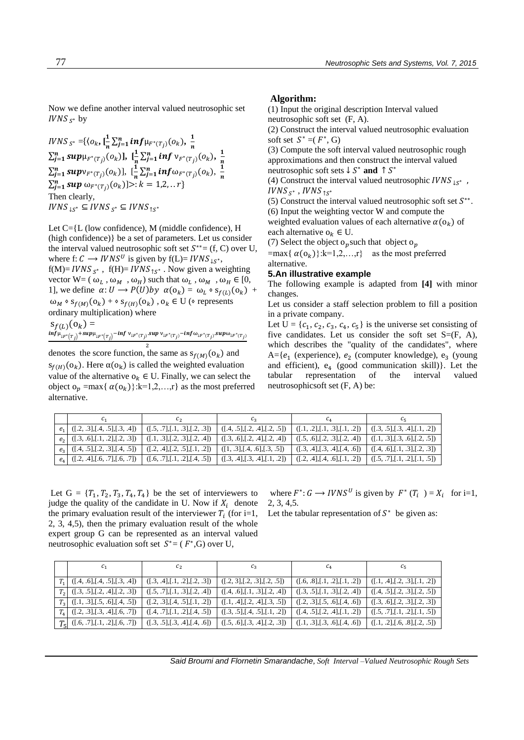Now we define another interval valued neutrosophic set  $IVNS_{S^*}$  by

$$
IVNS_{S^*} = \{ \langle o_k, [\frac{1}{n} \sum_{j=1}^n \inf \mu_{F^*(T_j)}(o_k), \frac{1}{n} \sum_{j=1}^n \sup \mu_{F^*(T_j)}(o_k), [\frac{1}{n} \sum_{j=1}^n \inf \nu_{F^*(T_j)}(o_k), \frac{1}{n} \sum_{j=1}^n \sup \nu_{F^*(T_j)}(o_k), \frac{1}{n} \sum_{j=1}^n \inf \omega_{F^*(T_j)}(o_k), \frac{1}{n} \sum_{j=1}^n \sup \omega_{F^*(T_j)}(o_k) ] >: k = 1, 2, ... r \}
$$
  
Then clearly,  

$$
IVNS_{1S^*} \subseteq IVNS_{S^*} \subseteq IVNS_{1S^*}
$$

Let C={L (low confidence), M (middle confidence), H (high confidence)} be a set of parameters. Let us consider the interval valued neutrosophic soft set  $S^{**} = (f, C)$  over U, where f:  $C \rightarrow I V N S^U$  is given by f(L)=  $IV N S_{\perp S^*}$ , f(M)=  $IVNS_{S^*}$ , f(H)=  $IVNS_{1S^*}$ . Now given a weighting vector  $W = (\omega_L, \omega_M, \omega_H)$  such that  $\omega_L$ ,  $\omega_M$ ,  $\omega_H \in [0, \infty)$ 1], we define  $\alpha: U \to P(U)$   $\alpha(o_k) = \omega_k \circ s_{f(L)}(o_k)$  +  $\omega_M \circ s_{f(M)}(o_k) + \circ s_{f(H)}(o_k)$ ,  $o_k \in U$  ( $\circ$  represents ordinary multiplication) where

$$
S_{f(L)}(O_k) = \underset{\substack{\text{inf}\mu_{\downarrow F^*(T_j)} + \text{sup}\mu_{\downarrow F^*(T_j)} - \text{inf}\nu_{\downarrow F^*(T_j)} \cdot \text{sup}\nu_{\downarrow F^*(T_j)} - \text{inf}\omega_{\downarrow F^*(T_j)} \cdot \text{sup}\omega_{\downarrow F^*(T_j)}}{2}
$$

denotes the score function, the same as  $s_{f(M)}(o_k)$  and  $s_{f(H)}(o_k)$ . Here  $\alpha(o_k)$  is called the weighted evaluation value of the alternative  $o_k \in U$ . Finally, we can select the object  $o_n = max\{ \alpha(o_k) \}$ :k=1,2,...,r} as the most preferred alternative.

#### **Algorithm:**

(1) Input the original description Interval valued neutrosophic soft set (F, A).

(2) Construct the interval valued neutrosophic evaluation soft set  $S^* = (F^*, G)$ 

(3) Compute the soft interval valued neutrosophic rough approximations and then construct the interval valued neutrosophic soft sets  $\downarrow$   $S^*$  and  $\uparrow$   $S^*$ 

(4) Construct the interval valued neutrosophic  $IVNS_{\perp s^*}$ ,  $IVNS_{S^*}$ ,  $IVNS_{S^*}$ 

(5) Construct the interval valued neutrosophic soft set  $S^{**}$ .

(6) Input the weighting vector W and compute the

weighted evaluation values of each alternative  $\alpha(o_k)$  of each alternative  $o_k \in U$ .

(7) Select the object  $o_p$  such that object  $o_p$ 

 $=$ max{  $\alpha(o_k)$ }:k=1,2,...,r} as the most preferred alternative.

### **5.An illustrative example**

The following example is adapted from **[4]** with minor changes.

Let us consider a staff selection problem to fill a position in a private company.

Let  $U = \{c_1, c_2, c_3, c_4, c_5\}$  is the universe set consisting of five candidates. Let us consider the soft set  $S=(F, A)$ , which describes the "quality of the candidates", where  $A = \{e_1 \text{ (experience)}, e_2 \text{ (computer knowledge)}, e_3 \text{ (young)}\}$ and efficient),  $e_4$  (good communication skill)}. Let the tabular representation of the interval valued neutrosophicsoft set (F, A) be:

| $e_1$ $(1, 2, 3)$ , $[1, 3, 4]$ $(1, 5, 7)$ , $[1, 3, 3]$ , $[2, 3]$ $(1, 4, 5)$ , $[2, 4]$ , $[2, 5]$ $(1, 2)$ , $[1, 3]$ , $[1, 2]$ $(1, 3, 5)$ , $[3, 4]$ , $[1, 2)$ |  |  |
|-------------------------------------------------------------------------------------------------------------------------------------------------------------------------|--|--|
| $e_2$ $([3, .6],[1, .2],[2, .3])$ $([1, .3],[2, .3],[2, .4])$ $([3, .6],[2, .4],[2, .4])$ $([5, .6],[2, .3],[2, .4])$ $([1, .3],[3, .6],[3, .6],[2, .5])$               |  |  |
| $e_3$ $([.4, .5],[.2, .3],[.4, .5])$ $([.2, .4],[.2, .5],[.1, .2])$ $([1, .3],[.4, .6],[.3, .5])$ $([.3, .4],[.3, .4],[.4, .6])$ $([.4, .6],[.1, .3],[.2, .3])$         |  |  |
| $e_4$ $([2, .4],[.6, .7],[.6, .7])$ $([1, .6, .7],[.1, .2],[.4, .5])$ $([3, .4],[.3, .4],[.1, .2])$ $([1, .2, .4],[.4, .6],[.1, .2])$ $([1, .2, .7],[.1, .2],[.1, .5])$ |  |  |

Let  $G = \{T_1, T_2, T_3, T_4, T_4\}$  be the set of interviewers to judge the quality of the candidate in U. Now if  $X_i$  denote the primary evaluation result of the interviewer  $T_i$  (for i=1, 2, 3, 4,5), then the primary evaluation result of the whole expert group G can be represented as an interval valued neutrosophic evaluation soft set  $S^* = (F^*, G)$  over U,

where  $F^*: G \longrightarrow IVNS^U$  is given by  $F^*(T_i) = X_i$  for i=1, 2, 3, 4,5.

Let the tabular representation of  $S^*$  be given as:

| $c_{1}$                                  | c <sub>2</sub>                       | $c_3$                          | c <sub>4</sub>                       | $c_{5}$                              |
|------------------------------------------|--------------------------------------|--------------------------------|--------------------------------------|--------------------------------------|
| $T_1$ ([.4, .6], [.4, .5], [.3, .4])     | ([0.3, 0.4], [0.1, 0.2], [0.2, 0.3]) | ([.2, 3], [.2, .3], [.2, .5])  | ([.6, .8], [.1, .2], [.1, .2])       | ([.1, .4], [.2, .3], [.1, .2])       |
| $T_2$ ([.3, .5], [.2, .4], [.2, .3])     | ([.5, .7], [.1, .3], [.2, .4])       | ([.4, .6], [.1, .3], [.2, .4]) | ([.3, .5], [.1, .3], [.2, .4])       | ([0.4, 0.5], [0.2, 0.3], [0.2, 0.5]) |
| $T_3$ ([.1, .3], [.5, .6], [.4, .5])     | ([0.2, .3], [0.4, .5], [0.1, .2])    | ([.1, .4], [.2, .4], [.3, .5]) | ([0.2, 0.3], [0.5, 0.6], [0.4, 0.6]) | ([.3, .6], [.2, .3], [.2, .3])       |
| $T_4$ ([.2, .3], [.3, .4], [.6, .7])     | ([.4, .7], [.1, .2], [.4, .5])       | ([.3, .5], [.4, .5], [.1, .2]) | ([.4, .5], [.2, .4], [.1, .2])       | ([.5, .7], [.1, .2], [.1, .5])       |
| $T_{\rm g}$ ([.6, .7],[.1, .2],[.6, .7]) | ([0.3, 0.5], [0.3, 0.4], [0.4, 0.6]) | ([.5, .6], [.3, .4], [.2, .3]) | ([.1, .3], [.3, .6], [.4, .6])       | ([.1, .2], [.6, .8], [.2, .5])       |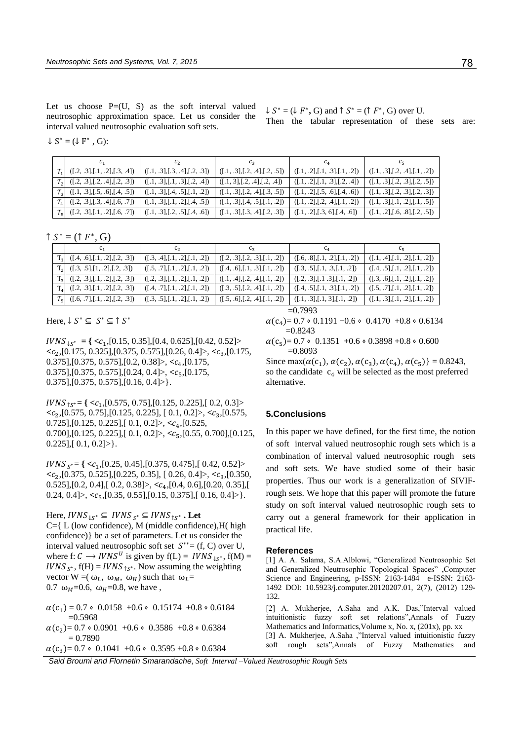Let us choose  $P=(U, S)$  as the soft interval valued neutrosophic approximation space. Let us consider the interval valued neutrosophic evaluation soft sets.

 $\downarrow$  S<sup>\*</sup> = ( $\downarrow$  F<sup>\*</sup>, G):

|                                      | c <sub>2</sub>                 | $c_{3}$                        | $c_{\rm A}$                    | $c_{5}$                        |
|--------------------------------------|--------------------------------|--------------------------------|--------------------------------|--------------------------------|
| $T_1$ ([.2, .3], [.1, .2], [.3, .4]) | ([.1, .3], [.3, .4], [.2, .3]) | ([.1, .3], [.2, .4], [.2, .5]) | ([1, 1, 2], [1, 3], [1, 2])    | ([.1, .3], [.2, .4], [.1, .2]) |
| $T_2$ ([.2, .3], [.2, .4], [.2, .3]) | ([.1, .3], [.1, .3], [.2, .4]) | ([1, 3], [2, .4], [2, .4])     | ([1, 1, 2], [1, 3], [2, 4])    | ([.1, .3], [.2, .3], [.2, .5]) |
| $T_3$ ([.1, .3], [.5, .6], [.4, .5]) | ([.1, .3], [.4, .5], [.1, .2]) | ([.1, .3], [.2, .4], [.3, .5]) | ([.1, .2], [.5, .6], [.4, .6]) | ([.1, .3], [.2, .3], [.2, .3]) |
| $T_4$ ([.2, .3], [.3, .4], [.6, .7]) | ([.1, .3], [.1, .2], [.4, .5]) | ([.1, .3], [.4, .5], [.1, .2]) | ([1, .2], [2, .4], [1, .2])    | ([.1, .3], [.1, .2], [.1, .5]) |
| $T_5$ ([.2, .3],[.1, .2],[.6, .7])   | ([1, .3], [2, .5], [4, .6])    | ([.1, .3], [.3, .4], [.2, .3]) | ([.1, .2], [.3, 6], [.4, .6])  | ([.1, .2], [.6, .8], [.2, .5]) |

 $\uparrow S^* = (\uparrow F^*, \mathbf{G})$ 

|                                     | C <sub>2</sub>                       | $C_3$                          | $C_{A}$                              | c <sub>5</sub>                       |
|-------------------------------------|--------------------------------------|--------------------------------|--------------------------------------|--------------------------------------|
| $T_1$ ([.4, .6],[.1, .2],[.2, .3])  | ([0.3, 0.4], [0.1, 0.2], [0.1, 0.2]) | ([.2, .3], [.2, .3], [.1, .2]) | ([.6, .8], [.1, .2], [.1, .2])       | ([.1, .4], [.1, .2], [.1, .2])       |
| $T_2$ ([.3, .5], [1, .2], [.2, .3]) | ([.5, .7], [.1, .2], [.1, .2])       | ([.4, .6], [.1, .3], [.1, .2]) | ([0.3, .5], [0.1, .3, [0.1, .2])     | ([0.4, .5], [0.1, .2], [0.1, .2])    |
| $T_3$ ([.2, .3],[.1, .2],[.2, .3])  | ([0.2, 0.3], [0.1, 0.2], [0.1, 0.2]) | ([.1, .4], [.2, .4], [.1, .2]) | ([0.2, 0.3], [0.1, 0.3], [0.1, 0.2]) | ([0.3, 0.6], [0.1, 0.2], [0.1, 0.2]) |
| $T_4$ ([.2, .3],[.1, .2],[.2, .3])  | ([0.4, 0.7], [0.1, 0.2], [0.1, 0.2]) | ([.3, .5], [.2, .4], [.1, .2]) | ([0.4, .5], [0.1, .3], [0.1, .2])    | ([.5, .7], [.1, .2], [.1, .2])       |
| $T_5$ ([.6, .7],[.1, .2],[.2, .3])  | ([0.3, 0.5], [0.1, 0.2], [0.1, 0.2]) | ([.5, .6], [.2, .4], [.1, .2]) | ([1, .3], [1, 3], [1, .2])           | ([.1, .3], [.1, .2], [.1, .2])       |

Here,  $\downarrow$   $S^* \subseteq S^* \subseteq \uparrow S^*$ 

 $IVNS_{\downarrow S^*} = \{ \langle c_1, [0.15, 0.35], [0.4, 0.625], [0.42, 0.52] \rangle \}$ **<**<sup>2</sup> ,[0.175, 0.325],[0.375, 0.575],[0.26, 0.4]>, **<**<sup>3</sup> ,[0.175, 0.375],[0.375, 0.575],[0.2, 0.38]>, **<**<sup>4</sup> ,[0.175, 0.375],[0.375, 0.575],[0.24, 0.4]>, **<**<sup>5</sup> ,[0.175,  $0.375$ ],  $[0.375, 0.575]$ ,  $[0.16, 0.4]$  > }.

*IVNS*<sub>15</sub><sup>∗</sup>= { <*c*<sub>1</sub>,[0.575, 0.75],[0.125, 0.225],[ 0.2, 0.3]> **<**<sup>2</sup> ,[0.575, 0.75],[0.125, 0.225], [ 0.1, 0.2]>, **<**<sup>3</sup> ,[0.575, 0.725],[0.125, 0.225],[ 0.1, 0.2]>, **<**<sup>4</sup> ,[0.525, 0.700],[0.125, 0.225],[ 0.1, 0.2]>, **<**<sup>5</sup> ,[0.55, 0.700],[0.125,  $0.225$ ],[  $0.1, 0.2$ ]>}.

*IVNS*<sub>S</sub><sup>∗</sup>= { < $c_1$ ,[0.25, 0.45],[0.375, 0.475],[ 0.42, 0.52]> **<**<sup>2</sup> ,[0.375, 0.525],[0.225, 0.35], [ 0.26, 0.4]>, **<**<sup>3</sup> ,[0.350, 0.525],[0.2, 0.4],[ 0.2, 0.38]>, **<**<sup>4</sup> ,[0.4, 0.6],[0.20, 0.35],[ 0.24, 0.4]>, **<**<sup>5</sup> ,[0.35, 0.55],[0.15, 0.375],[ 0.16, 0.4]>}.

Here,  $IVNS_{\perp S^*} \subseteq IVNS_{S^*} \subseteq IVNS_{\uparrow S^*}$ . Let  $C=\{ L$  (low confidence), M (middle confidence), H (high confidence)} be a set of parameters. Let us consider the interval valued neutrosophic soft set  $S^{**} = (f, C)$  over U, where f:  $C \rightarrow IVNS^U$  is given by f(L) =  $IVNS_{LS^*}$ , f(M) = *IVNS*  $s^*$ , f(H) = *IVNS*  $s^*$ . Now assuming the weighting vector  $W = (\omega_L, \omega_M, \omega_H)$  such that  $\omega_L =$ 0.7  $\omega_M$ =0.6,  $\omega_H$ =0.8, we have,

 $\alpha(c_1) = 0.7 \cdot 0.0158 + 0.6 \cdot 0.15174 + 0.8 \cdot 0.6184$  $=0.5968$  $\alpha$ (c<sub>2</sub>)= 0.7 • 0.0901 +0.6 • 0.3586 +0.8 • 0.6384  $= 0.7890$  $\alpha(c_3) = 0.7 \cdot 0.1041 + 0.6 \cdot 0.3595 + 0.8 \cdot 0.6384$ 

 $=0.7993$  $\alpha$ (c<sub>4</sub>)= 0.7 • 0.1191 +0.6 • 0.4170 +0.8 • 0.6134  $=0.8243$ 

 $\downarrow S^* = (\downarrow F^*, \mathbf{G})$  and  $\uparrow S^* = (\uparrow F^*, \mathbf{G})$  over U.

Then the tabular representation of these sets are:

 $\alpha$ (c<sub>5</sub>)= 0.7 • 0.1351 +0.6 • 0.3898 +0.8 • 0.600  $=0.8093$ 

Since max $(\alpha(c_1), \alpha(c_2), \alpha(c_3), \alpha(c_4), \alpha(c_5)) = 0.8243$ , so the candidate  $c_4$  will be selected as the most preferred alternative.

#### **5.Conclusions**

In this paper we have defined, for the first time, the notion of soft interval valued neutrosophic rough sets which is a combination of interval valued neutrosophic rough sets and soft sets. We have studied some of their basic properties. Thus our work is a generalization of SIVIFrough sets. We hope that this paper will promote the future study on soft interval valued neutrosophic rough sets to carry out a general framework for their application in practical life.

#### **References**

[1] A. A. Salama, S.A.Alblowi, "Generalized Neutrosophic Set and Generalized Neutrosophic Topological Spaces" ,Computer Science and Engineering, p-ISSN: 2163-1484 e-ISSN: 2163- 1492 DOI: 10.5923/j.computer.20120207.01, 2(7), (2012) 129- 132.

[2] A. Mukherjee, A.Saha and A.K. Das,"Interval valued intuitionistic fuzzy soft set relations",Annals of Fuzzy Mathematics and Informatics,Volume x, No. x, (201x), pp. xx [3] A. Mukherjee, A.Saha ,"Interval valued intuitionistic fuzzy soft rough sets",Annals of Fuzzy Mathematics and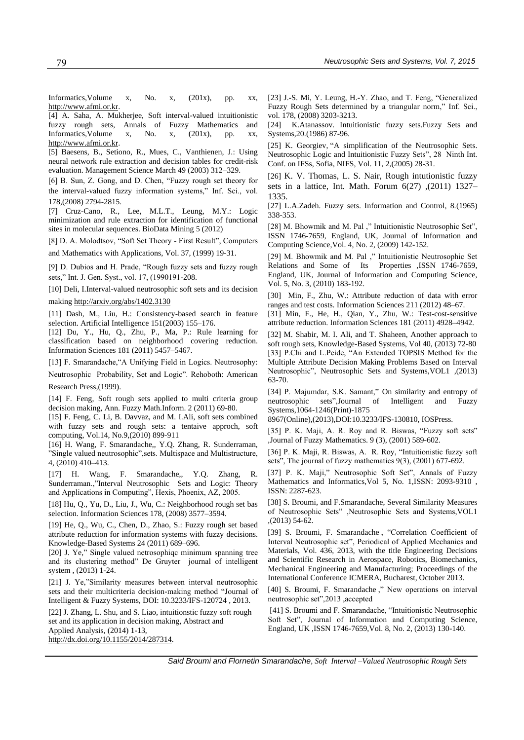Informatics,Volume x, No. x, (201x), pp. xx, [http://www.afmi.or.kr.](http://www.afmi.or.kr/)

[4] A. Saha, A. Mukherjee, Soft interval-valued intuitionistic fuzzy rough sets, Annals of Fuzzy Mathematics and Informatics,Volume x, No. x, (201x), pp. xx, [http://www.afmi.or.kr.](http://www.afmi.or.kr/)

[5] Baesens, B., Setiono, R., Mues, C., Vanthienen, J.: Using neural network rule extraction and decision tables for credit-risk evaluation. Management Science March 49 (2003) 312–329.

[6] B. Sun, Z. Gong, and D. Chen, "Fuzzy rough set theory for the interval-valued fuzzy information systems," Inf. Sci., vol. 178,(2008) 2794-2815.

[7] Cruz-Cano, R., Lee, M.L.T., Leung, M.Y.: Logic minimization and rule extraction for identification of functional sites in molecular sequences. BioData Mining 5 (2012)

[8] D. A. Molodtsov, "Soft Set Theory - First Result", Computers

and Mathematics with Applications, Vol. 37, (1999) 19-31.

[9] D. Dubios and H. Prade, "Rough fuzzy sets and fuzzy rough sets," Int. J. Gen. Syst., vol. 17, (1990191-208.

[10] Deli, I.Interval-valued neutrosophic soft sets and its decision makin[g http://arxiv.org/abs/1402.3130](http://arxiv.org/abs/1402.3130)

[11] Dash, M., Liu, H.: Consistency-based search in feature selection. Artificial Intelligence 151(2003) 155–176.

[12] Du, Y., Hu, Q., Zhu, P., Ma, P.: Rule learning for classification based on neighborhood covering reduction. Information Sciences 181 (2011) 5457–5467.

[13] F. Smarandache, "A Unifying Field in Logics. Neutrosophy:

Neutrosophic Probability, Set and Logic". Rehoboth: American

Research Press,(1999).

[14] F. Feng, Soft rough sets applied to multi criteria group decision making, Ann. Fuzzy Math.Inform. 2 (2011) 69-80.

[15] F. Feng, C. Li, B. Davvaz, and M. I.Ali, soft sets combined with fuzzy sets and rough sets: a tentaive approch, soft computing, Vol.14, No.9,(2010) 899-911

[16] H. Wang, F. Smarandache,, Y.Q. Zhang, R. Sunderraman, "Single valued neutrosophic",sets. Multispace and Multistructure, 4, (2010) 410–413.

[17] H. Wang, F. Smarandache,, Y.Q. Zhang, R. Sunderraman.,"Interval Neutrosophic Sets and Logic: Theory and Applications in Computing", Hexis, Phoenix, AZ, 2005.

[18] Hu, Q., Yu, D., Liu, J., Wu, C.: Neighborhood rough set bas selection. Information Sciences 178, (2008) 3577–3594.

[19] He, Q., Wu, C., Chen, D., Zhao, S.: Fuzzy rough set based attribute reduction for information systems with fuzzy decisions. Knowledge-Based Systems 24 (2011) 689–696.

[20] J. Ye," Single valued netrosophiqc minimum spanning tree and its clustering method" De Gruyter journal of intelligent system , (2013) 1-24.

[21] J. Ye,"Similarity measures between interval neutrosophic sets and their multicriteria decision-making method "Journal of Intelligent & Fuzzy Systems, DOI: 10.3233/IFS-120724 , 2013.

[22] J. Zhang, L. Shu, and S. Liao, intuitionstic fuzzy soft rough set and its application in decision making, Abstract and Applied Analysis, (2014) 1-13, [http://dx.doi.org/10.1155/2014/287314.](http://dx.doi.org/10.1155/2014/287314) 

[23] J.-S. Mi, Y. Leung, H.-Y. Zhao, and T. Feng, "Generalized Fuzzy Rough Sets determined by a triangular norm," Inf. Sci., vol. 178, (2008) 3203-3213.

[24] K.Atanassov. Intuitionistic fuzzy sets.Fuzzy Sets and Systems,20.(1986) 87-96.

[25] K. Georgiev, "A simplification of the Neutrosophic Sets. Neutrosophic Logic and Intuitionistic Fuzzy Sets", 28 Ninth Int. Conf. on IFSs, Sofia, NIFS, Vol. 11, 2,(2005) 28-31.

[26] K. V. Thomas, L. S. Nair, Rough intutionistic fuzzy sets in a lattice, Int. Math. Forum 6(27) ,(2011) 1327– 1335.

[27] L.A.Zadeh. Fuzzy sets. Information and Control, 8.(1965) 338-353.

[28] M. Bhowmik and M. Pal ," Intuitionistic Neutrosophic Set", ISSN 1746-7659, England, UK, Journal of Information and Computing Science,Vol. 4, No. 2, (2009) 142-152.

[29] M. Bhowmik and M. Pal ," Intuitionistic Neutrosophic Set Relations and Some of Its Properties ,ISSN 1746-7659, England, UK, Journal of Information and Computing Science, Vol. 5, No. 3, (2010) 183-192.

[30] Min, F., Zhu, W.: Attribute reduction of data with error ranges and test costs. Information Sciences 211 (2012) 48–67.

[31] Min, F., He, H., Oian, Y., Zhu, W.: Test-cost-sensitive attribute reduction. Information Sciences 181 (2011) 4928–4942.

[32] M. Shabir, M. I. Ali, and T. Shaheen, Another approach to soft rough sets, Knowledge-Based Systems, Vol 40, (2013) 72-80 [33] P.Chi and L.Peide, "An Extended TOPSIS Method for the Multiple Attribute Decision Making Problems Based on Interval Neutrosophic", Neutrosophic Sets and Systems,VOL1 ,(2013) 63-70.

[34] P. Majumdar, S.K. Samant," On similarity and entropy of [neutrosophic sets"](http://iospress.metapress.com/content/8342372573j42764/),Journal of Intelligent and Fuzzy Systems,1064-1246(Print)-1875

8967(Online),(2013),DOI:10.3233/IFS-130810, IOSPress.

[35] P. K. Maji, A. R. Roy and R. Biswas, "Fuzzy soft sets" ,Journal of Fuzzy Mathematics. 9 (3), (2001) 589-602.

[36] P. K. Maji, R. Biswas, A. R. Roy, "Intuitionistic fuzzy soft sets", The journal of fuzzy mathematics 9(3), (2001) 677-692.

[37] P. K. Maji," Neutrosophic Soft Set", Annals of Fuzzy Mathematics and Informatics,Vol 5, No. 1,ISSN: 2093-9310 , ISSN: 2287-623.

[38] S. Broumi, and F.Smarandache, Several Similarity Measures of Neutrosophic Sets" ,Neutrosophic Sets and Systems,VOL1 ,(2013) 54-62.

[39] S. Broumi, F. Smarandache , "Correlation Coefficient of Interval Neutrosophic set", Periodical of Applied Mechanics and Materials, Vol. 436, 2013, with the title Engineering Decisions and Scientific Research in Aerospace, Robotics, Biomechanics, Mechanical Engineering and Manufacturing; Proceedings of the International Conference ICMERA, Bucharest, October 2013.

[40] S. Broumi, F. Smarandache ," New operations on interval neutrosophic set",2013 ,accepted

 [41] S. Broumi and F. Smarandache, "Intuitionistic Neutrosophic Soft Set", Journal of Information and Computing Science, England, UK ,ISSN 1746-7659,Vol. 8, No. 2, (2013) 130-140.